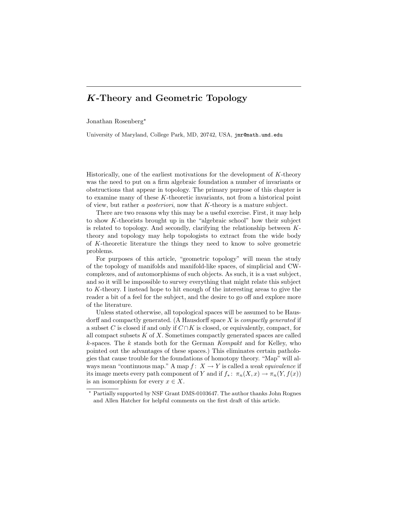## K-Theory and Geometric Topology

Jonathan Rosenberg?

University of Maryland, College Park, MD, 20742, USA, jmr@math.umd.edu

Historically, one of the earliest motivations for the development of K-theory was the need to put on a firm algebraic foundation a number of invariants or obstructions that appear in topology. The primary purpose of this chapter is to examine many of these K-theoretic invariants, not from a historical point of view, but rather a posteriori, now that K-theory is a mature subject.

There are two reasons why this may be a useful exercise. First, it may help to show K-theorists brought up in the "algebraic school" how their subject is related to topology. And secondly, clarifying the relationship between Ktheory and topology may help topologists to extract from the wide body of K-theoretic literature the things they need to know to solve geometric problems.

For purposes of this article, "geometric topology" will mean the study of the topology of manifolds and manifold-like spaces, of simplicial and CWcomplexes, and of automorphisms of such objects. As such, it is a vast subject, and so it will be impossible to survey everything that might relate this subject to K-theory. I instead hope to hit enough of the interesting areas to give the reader a bit of a feel for the subject, and the desire to go off and explore more of the literature.

Unless stated otherwise, all topological spaces will be assumed to be Hausdorff and compactly generated. (A Hausdorff space  $X$  is *compactly generated* if a subset C is closed if and only if  $C \cap K$  is closed, or equivalently, compact, for all compact subsets  $K$  of  $X$ . Sometimes compactly generated spaces are called  $k$ -spaces. The k stands both for the German Kompakt and for Kelley, who pointed out the advantages of these spaces.) This eliminates certain pathologies that cause trouble for the foundations of homotopy theory. "Map" will always mean "continuous map." A map  $f: X \to Y$  is called a *weak equivalence* if its image meets every path component of Y and if  $f_*: \pi_n(X, x) \to \pi_n(Y, f(x))$ is an isomorphism for every  $x \in X$ .

<sup>?</sup> Partially supported by NSF Grant DMS-0103647. The author thanks John Rognes and Allen Hatcher for helpful comments on the first draft of this article.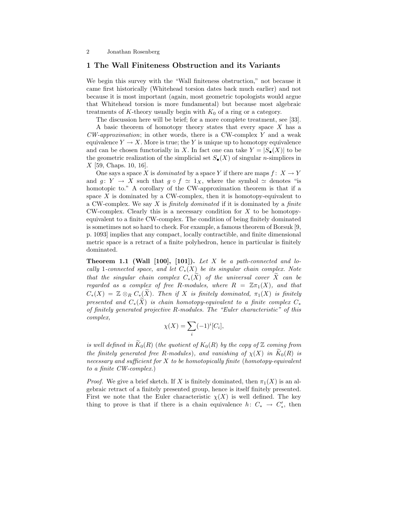### 1 The Wall Finiteness Obstruction and its Variants

We begin this survey with the "Wall finiteness obstruction," not because it came first historically (Whitehead torsion dates back much earlier) and not because it is most important (again, most geometric topologists would argue that Whitehead torsion is more fundamental) but because most algebraic treatments of  $K$ -theory usually begin with  $K_0$  of a ring or a category.

The discussion here will be brief; for a more complete treatment, see [33].

A basic theorem of homotopy theory states that every space X has a  $CW\text{-}approximation$ ; in other words, there is a CW-complex Y and a weak equivalence  $Y \to X$ . More is true; the Y is unique up to homotopy equivalence and can be chosen functorially in X. In fact one can take  $Y = |S_{\bullet}(X)|$  to be the geometric realization of the simplicial set  $S_{\bullet}(X)$  of singular *n*-simplices in X [59, Chaps. 10, 16].

One says a space X is *dominated* by a space Y if there are maps  $f: X \to Y$ and  $q: Y \to X$  such that  $q \circ f \simeq 1_X$ , where the symbol  $\simeq$  denotes "is homotopic to." A corollary of the CW-approximation theorem is that if a space  $X$  is dominated by a CW-complex, then it is homotopy-equivalent to a CW-complex. We say  $X$  is *finitely dominated* if it is dominated by a *finite*  $CW$ -complex. Clearly this is a necessary condition for  $X$  to be homotopyequivalent to a finite CW-complex. The condition of being finitely dominated is sometimes not so hard to check. For example, a famous theorem of Borsuk [9, p. 1093] implies that any compact, locally contractible, and finite dimensional metric space is a retract of a finite polyhedron, hence in particular is finitely dominated.

**Theorem 1.1 (Wall [100], [101]).** Let  $X$  be a path-connected and locally 1-connected space, and let  $C_*(X)$  be its singular chain complex. Note that the singular chain complex  $C_*(\widetilde{X})$  of the universal cover  $\widetilde{X}$  can be regarded as a complex of free R-modules, where  $R = \mathbb{Z}\pi_1(X)$ , and that  $C_*(X) = \mathbb{Z} \otimes_R C_*(X)$ . Then if X is finitely dominated,  $\pi_1(X)$  is finitely presented and  $C_*(\widetilde{X})$  is chain homotopy-equivalent to a finite complex  $C_*$ of finitely generated projective R-modules. The "Euler characteristic" of this complex,

$$
\chi(X) = \sum_{i} (-1)^{i} [C_{i}],
$$

is well defined in  $\widetilde{K}_0(R)$  (the quotient of  $K_0(R)$  by the copy of Z coming from the finitely generated free R-modules), and vanishing of  $\chi(X)$  in  $\widetilde{K}_0(R)$  is necessary and sufficient for  $X$  to be homotopically finite (homotopy-equivalent to a finite CW-complex.)

*Proof.* We give a brief sketch. If X is finitely dominated, then  $\pi_1(X)$  is an algebraic retract of a finitely presented group, hence is itself finitely presented. First we note that the Euler characteristic  $\chi(X)$  is well defined. The key thing to prove is that if there is a chain equivalence  $h: C_* \to C'_*,$  then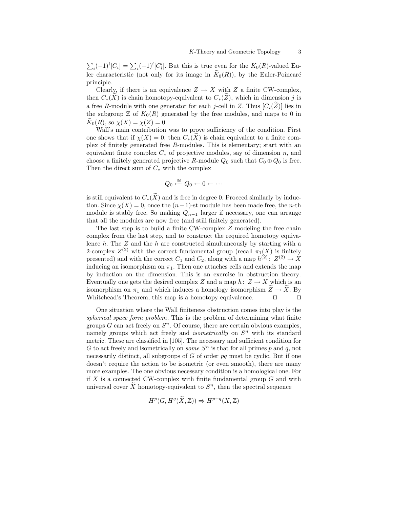$\sum_i (-1)^i [C_i] = \sum_i (-1)^i [C_i']$ . But this is true even for the  $K_0(R)$ -valued Euler characteristic (not only for its image in  $\widetilde{K}_0(R)$ ), by the Euler-Poincaré principle.

Clearly, if there is an equivalence  $Z \to X$  with Z a finite CW-complex, then  $C_*(X)$  is chain homotopy-equivalent to  $C_*(Z)$ , which in dimension j is a free R-module with one generator for each j-cell in Z. Thus  $[C_i(\widetilde{Z})]$  lies in the subgroup  $\mathbb Z$  of  $K_0(R)$  generated by the free modules, and maps to 0 in  $\widetilde{K}_0(R)$ , so  $\chi(X) = \chi(Z) = 0$ .

Wall's main contribution was to prove sufficiency of the condition. First one shows that if  $\chi(X) = 0$ , then  $C_*(X)$  is chain equivalent to a finite complex of finitely generated free R-modules. This is elementary; start with an equivalent finite complex  $C_*$  of projective modules, say of dimension n, and choose a finitely generated projective R-module  $Q_0$  such that  $C_0 \oplus Q_0$  is free. Then the direct sum of  $C_*$  with the complex

$$
Q_0 \stackrel{\cong}{\leftarrow} Q_0 \leftarrow 0 \leftarrow \cdots
$$

is still equivalent to  $C_*(\widetilde{X})$  and is free in degree 0. Proceed similarly by induction. Since  $\chi(X) = 0$ , once the  $(n-1)$ -st module has been made free, the *n*-th module is stably free. So making  $Q_{n-1}$  larger if necessary, one can arrange that all the modules are now free (and still finitely generated).

The last step is to build a finite CW-complex Z modeling the free chain complex from the last step, and to construct the required homotopy equivalence  $h$ . The  $Z$  and the  $h$  are constructed simultaneously by starting with a 2-complex  $Z^{(2)}$  with the correct fundamental group (recall  $\pi_1(X)$  is finitely presented) and with the correct  $C_1$  and  $C_2$ , along with a map  $h^{(2)}: Z^{(2)} \to X$ inducing an isomorphism on  $\pi_1$ . Then one attaches cells and extends the map by induction on the dimension. This is an exercise in obstruction theory. Eventually one gets the desired complex Z and a map  $h: Z \to X$  which is an isomorphism on  $\pi_1$  and which induces a homology isomorphism  $\widetilde{Z} \to \widetilde{X}$ . By<br>Whitehead's Theorem, this map is a homotopy equivalence.  $\square$ Whitehead's Theorem, this map is a homotopy equivalence.

One situation where the Wall finiteness obstruction comes into play is the spherical space form problem. This is the problem of determining what finite groups  $G$  can act freely on  $S<sup>n</sup>$ . Of course, there are certain obvious examples, namely groups which act freely and *isometrically* on  $S<sup>n</sup>$  with its standard metric. These are classified in [105]. The necessary and sufficient condition for  $G$  to act freely and isometrically on *some*  $S<sup>n</sup>$  is that for all primes  $p$  and  $q$ , not necessarily distinct, all subgroups of  $G$  of order  $pq$  must be cyclic. But if one doesn't require the action to be isometric (or even smooth), there are many more examples. The one obvious necessary condition is a homological one. For if X is a connected CW-complex with finite fundamental group  $G$  and with universal cover  $\tilde{X}$  homotopy-equivalent to  $S<sup>n</sup>$ , then the spectral sequence

$$
H^p(G, H^q(\widetilde{X}, \mathbb{Z})) \Rightarrow H^{p+q}(X, \mathbb{Z})
$$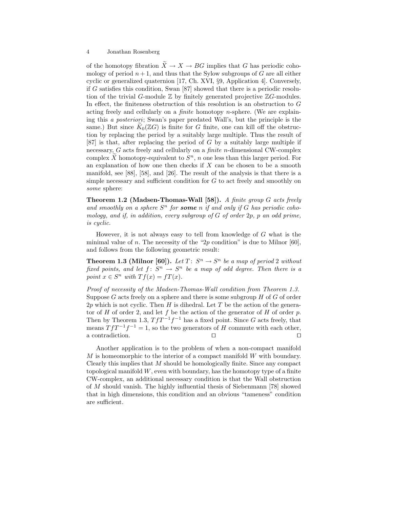of the homotopy fibration  $\widetilde{X} \to X \to BG$  implies that G has periodic cohomology of period  $n+1$ , and thus that the Sylow subgroups of G are all either cyclic or generalized quaternion [17, Ch. XVI, §9, Application 4]. Conversely, if G satisfies this condition, Swan [87] showed that there is a periodic resolution of the trivial G-module  $\mathbb Z$  by finitely generated projective  $\mathbb Z$ G-modules. In effect, the finiteness obstruction of this resolution is an obstruction to G acting freely and cellularly on a  $finite$  homotopy  $n$ -sphere. (We are explaining this a posteriori; Swan's paper predated Wall's, but the principle is the same.) But since  $\widetilde{K}_0(\mathbb{Z}G)$  is finite for G finite, one can kill off the obstruction by replacing the period by a suitably large multiple. Thus the result of  $[87]$  is that, after replacing the period of G by a suitably large multiple if necessary, G acts freely and cellularly on a finite n-dimensional CW-complex complex  $\tilde{X}$  homotopy-equivalent to  $S<sup>n</sup>$ , n one less than this larger period. For an explanation of how one then checks if  $X$  can be chosen to be a smooth manifold, see [88], [58], and [26]. The result of the analysis is that there is a simple necessary and sufficient condition for G to act freely and smoothly on some sphere:

Theorem 1.2 (Madsen-Thomas-Wall [58]). A finite group G acts freely and smoothly on a sphere  $S<sup>n</sup>$  for some n if and only if G has periodic cohomology, and if, in addition, every subgroup of  $G$  of order  $2p$ ,  $p$  an odd prime, is cyclic.

However, it is not always easy to tell from knowledge of G what is the minimal value of n. The necessity of the "2p condition" is due to Milnor  $[60]$ , and follows from the following geometric result:

**Theorem 1.3 (Milnor [60]).** Let  $T: S^n \to S^n$  be a map of period 2 without fixed points, and let  $f: S^n \to S^n$  be a map of odd degree. Then there is a point  $x \in S^n$  with  $Tf(x) = fT(x)$ .

Proof of necessity of the Madsen-Thomas-Wall condition from Theorem 1.3. Suppose  $G$  acts freely on a sphere and there is some subgroup  $H$  of  $G$  of order  $2p$  which is not cyclic. Then H is dihedral. Let T be the action of the generator of  $H$  of order 2, and let  $f$  be the action of the generator of  $H$  of order  $p$ . Then by Theorem 1.3,  $T f T^{-1} f^{-1}$  has a fixed point. Since G acts freely, that means  $T f T^{-1} f^{-1} = 1$ , so the two generators of H commute with each other, a contradiction.  $\hfill \Box$ 

Another application is to the problem of when a non-compact manifold  $M$  is homeomorphic to the interior of a compact manifold  $W$  with boundary. Clearly this implies that M should be homologically finite. Since any compact topological manifold  $W$ , even with boundary, has the homotopy type of a finite CW-complex, an additional necessary condition is that the Wall obstruction of M should vanish. The highly influential thesis of Siebenmann [78] showed that in high dimensions, this condition and an obvious "tameness" condition are sufficient.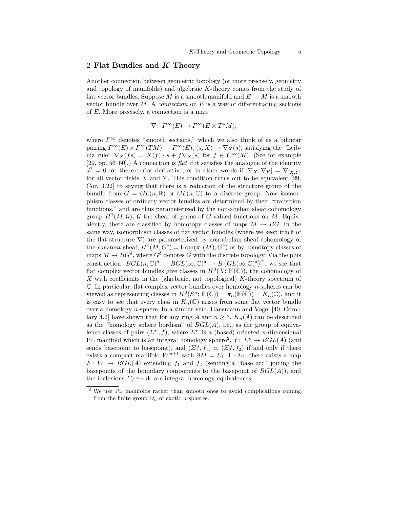#### 2 Flat Bundles and K-Theory

Another connection between geometric topology (or more precisely, geometry and topology of manifolds) and algebraic K-theory comes from the study of flat vector bundles. Suppose M is a smooth manifold and  $E \to M$  is a smooth vector bundle over  $M$ . A *connection* on  $E$  is a way of differentiating sections of E. More precisely, a connection is a map

$$
\nabla\colon\varGamma^{\infty}(E)\to\varGamma^{\infty}(E\otimes T^*M),
$$

where  $\Gamma^{\infty}$  denotes "smooth sections," which we also think of as a bilinear pairing  $\Gamma^{\infty}(E) \times \Gamma^{\infty}(TM) \to \Gamma^{\infty}(E)$ ,  $(s, X) \mapsto \nabla_X(s)$ , satisfying the "Leibniz rule"  $\nabla_X(fs) = X(f) \cdot s + f \nabla_X(s)$  for  $f \in C^\infty(M)$ . (See for example [29, pp. 56–60].) A connection is  $flat$  if it satisfies the analogue of the identity  $d^2 = 0$  for the exterior derivative, or in other words if  $[\nabla_X, \nabla_Y] = \nabla_{[X,Y]}$ for all vector fields  $X$  and  $Y$ . This condition turns out to be equivalent [29,] Cor. 3.22] to saying that there is a reduction of the structure group of the bundle from  $G = GL(n, \mathbb{R})$  or  $GL(n, \mathbb{C})$  to a discrete group. Now isomorphism classes of ordinary vector bundles are determined by their "transition functions," and are thus parameterized by the non-abelian sheaf cohomology group  $H^1(M, \mathcal{G})$ ,  $\mathcal G$  the sheaf of germs of G-valued functions on M. Equivalently, there are classified by homotopy classes of maps  $M \to BG$ . In the same way, isomorphism classes of flat vector bundles (where we keep track of the flat structure  $\nabla$ ) are parameterized by non-abelian sheaf cohomology of the *constant* sheaf,  $H^1(M, G^{\delta}) = \text{Hom}(\pi_1(M), G^{\delta})$  or by homotopy classes of maps  $M \to BG^{\delta}$ , where  $G^{\delta}$  denotes  $G$  with the discrete topology. Via the plus construction  $BGL(n,\mathbb{C})^{\delta} \to BGL(\infty,\mathbb{C})^{\delta} \to B\left(GL(\infty,\mathbb{C})^{\delta}\right)^{+}$ , we see that flat complex vector bundles give classes in  $H^0(X; \mathbb{K}(\mathbb{C}))$ , the cohomology of  $X$  with coefficients in the (algebraic, not topological)  $K$ -theory spectrum of  $\mathbb C$ . In particular, flat complex vector bundles over homology *n*-spheres can be viewed as representing classes in  $H^0(S^n; \mathbb{K}(\mathbb{C})) = \pi_n(\mathbb{K}(\mathbb{C})) = K_n(\mathbb{C})$ , and it is easy to see that every class in  $K_n(\mathbb{C})$  arises from some flat vector bundle over a homology n-sphere. In a similar vein, Hausmann and Vogel [40, Corollary 4.2] have shown that for any ring A and  $n \geq 5$ ,  $K_n(A)$  can be described as the "homology sphere bordism" of  $BGL(A)$ , i.e., as the group of equivalence classes of pairs  $(\Sigma^n, f)$ , where  $\Sigma^n$  is a (based) oriented *n*-dimensional PL manifold which is an integral homology sphere<sup>2</sup>,  $f: \Sigma^n \to BGL(A)$  (and sends basepoint to basepoint), and  $(\Sigma_1^n, f_1) \simeq (\Sigma_2^n, f_2)$  if and only if there exists a compact manifold  $W^{n+1}$  with  $\partial M = \Sigma_1 \amalg -\Sigma_2$ , there exists a map  $F: W \to BGL(A)$  extending  $f_1$  and  $f_2$  (sending a "base arc" joining the basepoints of the boundary components to the basepoint of  $BGL(A)$ , and the inclusions  $\Sigma_j \hookrightarrow W$  are integral homology equivalences.

<sup>2</sup> We use PL manifolds rather than smooth ones to avoid complications coming from the finite group  $\Theta_n$  of exotic *n*-spheres.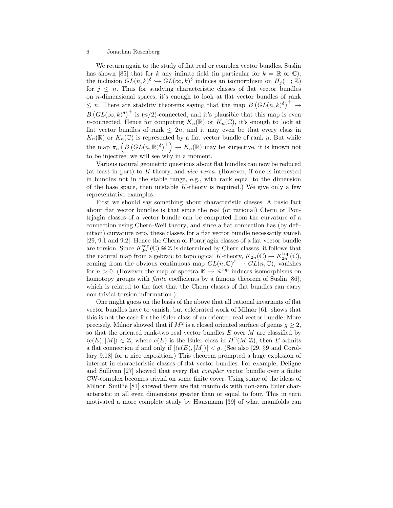We return again to the study of flat real or complex vector bundles. Suslin has shown [85] that for k any infinite field (in particular for  $k = \mathbb{R}$  or  $\mathbb{C}$ ), the inclusion  $GL(n,k)^\delta \hookrightarrow GL(\infty,k)^\delta$  induces an isomorphism on  $H_j(\_,\mathbb{Z})$ for  $j \leq n$ . Thus for studying characteristic classes of flat vector bundles on n-dimensional spaces, it's enough to look at flat vector bundles of rank  $\leq n$ . There are stability theorems saying that the map  $B(GL(n, k)^{\delta})^+ \rightarrow$  $B\left( GL(\infty,k)^{\delta}\right)^{+}$  is  $(n/2)$ -connected, and it's plausible that this map is even *n*-connected. Hence for computing  $K_n(\mathbb{R})$  or  $K_n(\mathbb{C})$ , it's enough to look at flat vector bundles of rank  $\leq 2n$ , and it may even be that every class in  $K_n(\mathbb{R})$  or  $K_n(\mathbb{C})$  is represented by a flat vector bundle of rank n. But while the map  $\pi_n\left(B\left(GL(n,\mathbb{R})^{\delta}\right)^+\right) \to K_n(\mathbb{R})$  may be surjective, it is known not to be injective; we will see why in a moment.

Various natural geometric questions about flat bundles can now be reduced (at least in part) to K-theory, and vice versa. (However, if one is interested in bundles not in the stable range, e.g., with rank equal to the dimension of the base space, then unstable  $K$ -theory is required.) We give only a few representative examples.

First we should say something about characteristic classes. A basic fact about flat vector bundles is that since the real (or rational) Chern or Pontrjagin classes of a vector bundle can be computed from the curvature of a connection using Chern-Weil theory, and since a flat connection has (by definition) curvature zero, these classes for a flat vector bundle necessarily vanish [29, 9.1 and 9.2]. Hence the Chern or Pontrjagin classes of a flat vector bundle are torsion. Since  $K_{2n}^{\text{top}}(\mathbb{C}) \cong \mathbb{Z}$  is determined by Chern classes, it follows that the natural map from algebraic to topological K-theory,  $K_{2n}(\mathbb{C}) \to K_{2n}^{\text{top}}(\mathbb{C}),$ coming from the obvious continuous map  $GL(n,\mathbb{C})^{\delta} \to GL(n,\mathbb{C})$ , vanishes for  $n > 0$ . (However the map of spectra  $\mathbb{K} \to \mathbb{K}^{\text{top}}$  induces isomorphisms on homotopy groups with *finite* coefficients by a famous theorem of Suslin [86], which is related to the fact that the Chern classes of flat bundles can carry non-trivial torsion information.)

One might guess on the basis of the above that all rational invariants of flat vector bundles have to vanish, but celebrated work of Milnor [61] shows that this is not the case for the Euler class of an oriented real vector bundle. More precisely, Milnor showed that if  $M^2$  is a closed oriented surface of genus  $g \geq 2$ , so that the oriented rank-two real vector bundles  $E$  over  $M$  are classified by  $\langle e(E), [M] \rangle \in \mathbb{Z}$ , where  $e(E)$  is the Euler class in  $H^2(M, \mathbb{Z})$ , then E admits a flat connection if and only if  $|\langle e(E), [M] \rangle| < g$ . (See also [29, §9 and Corollary 9.18] for a nice exposition.) This theorem prompted a huge explosion of interest in characteristic classes of flat vector bundles. For example, Deligne and Sullivan [27] showed that every flat complex vector bundle over a finite CW-complex becomes trivial on some finite cover. Using some of the ideas of Milnor, Smillie [81] showed there are flat manifolds with non-zero Euler characteristic in all even dimensions greater than or equal to four. This in turn motivated a more complete study by Hausmann [39] of what manifolds can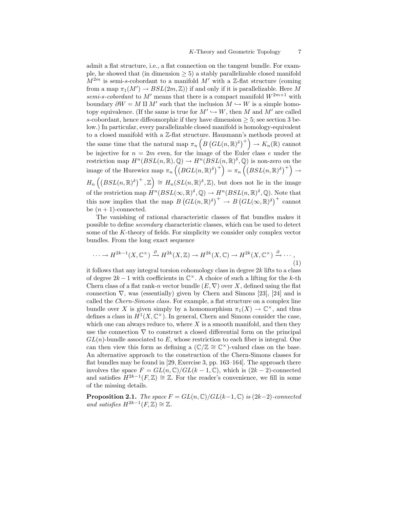admit a flat structure, i.e., a flat connection on the tangent bundle. For example, he showed that (in dimension  $\geq 5$ ) a stably parallelizable closed manifold  $M^{2m}$  is semi-s-cobordant to a manifold M' with a Z-flat structure (coming from a map  $\pi_1(M') \to BSL(2m, \mathbb{Z})$  if and only if it is parallelizable. Here M semi-s-cobordant to M' means that there is a compact manifold  $W^{2m+1}$  with boundary  $\partial W = M \amalg M'$  such that the inclusion  $M \hookrightarrow W$  is a simple homotopy equivalence. (If the same is true for  $M' \hookrightarrow W$ , then M and M' are called s-cobordant, hence diffeomorphic if they have dimension  $\geq$  5; see section 3 below.) In particular, every parallelizable closed manifold is homology-equivalent to a closed manifold with a Z-flat structure. Hausmann's methods proved at the same time that the natural map  $\pi_n\left(B\left(GL(n,\mathbb{R})^{\delta}\right)^+\right) \to K_n(\mathbb{R})$  cannot be injective for  $n = 2m$  even, for the image of the Euler class e under the restriction map  $H^n(BSL(n,\mathbb{R}),\mathbb{Q}) \to H^n(BSL(n,\mathbb{R})^{\delta},\mathbb{Q})$  is non-zero on the image of the Hurewicz map  $\pi_n\left(\left(BGL(n,\mathbb{R})^{\delta}\right)^+\right)=\pi_n\left(\left(BSL(n,\mathbb{R})^{\delta}\right)^+\right)\to$  $H_n\left(\left(BSL(n,\mathbb{R})^{\delta}\right)^+,\mathbb{Z}\right)\cong H_n(SL(n,\mathbb{R})^{\delta},\mathbb{Z}),$  but does not lie in the image of the restriction map  $H^n(BSL(\infty, \mathbb{R})^{\delta}, \mathbb{Q}) \to H^n(BSL(n, \mathbb{R})^{\delta}, \mathbb{Q})$ . Note that this now implies that the map  $B(GL(n,\mathbb{R})^{\delta})^+\to B(GL(\infty,\mathbb{R})^{\delta})^+$  cannot be  $(n + 1)$ -connected.

The vanishing of rational characteristic classes of flat bundles makes it possible to define secondary characteristic classes, which can be used to detect some of the K-theory of fields. For simplicity we consider only complex vector bundles. From the long exact sequence

$$
\cdots \to H^{2k-1}(X,\mathbb{C}^{\times}) \xrightarrow{\partial} H^{2k}(X,\mathbb{Z}) \to H^{2k}(X,\mathbb{C}) \to H^{2k}(X,\mathbb{C}^{\times}) \xrightarrow{\partial} \cdots,
$$
\n(1)

it follows that any integral torsion cohomology class in degree 2k lifts to a class of degree  $2k - 1$  with coefficients in  $\mathbb{C}^{\times}$ . A choice of such a lifting for the k-th Chern class of a flat rank-n vector bundle  $(E, \nabla)$  over X, defined using the flat connection  $\nabla$ , was (essentially) given by Chern and Simons [23], [24] and is called the Chern-Simons class. For example, a flat structure on a complex line bundle over X is given simply by a homomorphism  $\pi_1(X) \to \mathbb{C}^{\times}$ , and thus defines a class in  $H^1(X, \mathbb{C}^\times)$ . In general, Chern and Simons consider the case, which one can always reduce to, where  $X$  is a smooth manifold, and then they use the connection  $\nabla$  to construct a closed differential form on the principal  $GL(n)$ -bundle associated to E, whose restriction to each fiber is integral. One can then view this form as defining a  $(\mathbb{C}/\mathbb{Z}\cong \mathbb{C}^{\times})$ -valued class on the base. An alternative approach to the construction of the Chern-Simons classes for flat bundles may be found in [29, Exercise 3, pp. 163–164]. The approach there involves the space  $F = GL(n, \mathbb{C})/GL(k-1, \mathbb{C})$ , which is  $(2k-2)$ -connected and satisfies  $H^{2k-1}(F,\mathbb{Z}) \cong \mathbb{Z}$ . For the reader's convenience, we fill in some of the missing details.

**Proposition 2.1.** The space  $F = GL(n, \mathbb{C})/GL(k-1, \mathbb{C})$  is  $(2k-2)$ -connected and satisfies  $H^{2k-1}(F,\mathbb{Z}) \cong \mathbb{Z}$ .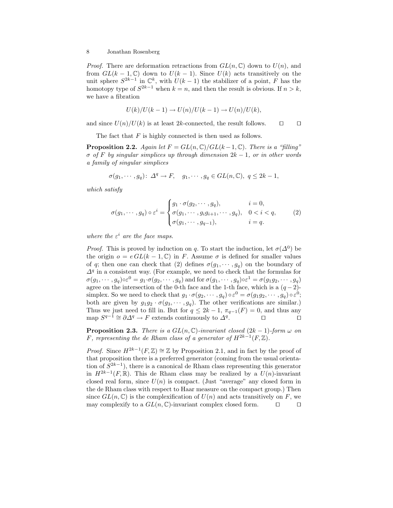*Proof.* There are deformation retractions from  $GL(n,\mathbb{C})$  down to  $U(n)$ , and from  $GL(k-1,\mathbb{C})$  down to  $U(k-1)$ . Since  $U(k)$  acts transitively on the unit sphere  $S^{2k-1}$  in  $\mathbb{C}^k$ , with  $U(k-1)$  the stabilizer of a point, F has the homotopy type of  $S^{2k-1}$  when  $k = n$ , and then the result is obvious. If  $n > k$ , we have a fibration

$$
U(k)/U(k-1) \to U(n)/U(k-1) \to U(n)/U(k),
$$

and since  $U(n)/U(k)$  is at least 2k-connected, the result follows.  $\square$ 

The fact that  $F$  is highly connected is then used as follows.

**Proposition 2.2.** Again let  $F = GL(n, \mathbb{C})/GL(k-1, \mathbb{C})$ . There is a "filling"  $\sigma$  of F by singular simplices up through dimension  $2k - 1$ , or in other words a family of singular simplices

$$
\sigma(g_1, \cdots, g_q) \colon \Delta^q \to F, \quad g_1, \cdots, g_q \in GL(n, \mathbb{C}), \ q \le 2k - 1,
$$

which satisfy

$$
\sigma(g_1, \cdots, g_q) \circ \varepsilon^i = \begin{cases} g_1 \cdot \sigma(g_2, \cdots, g_q), & i = 0, \\ \sigma(g_1, \cdots, g_i g_{i+1}, \cdots, g_q), & 0 < i < q, \\ \sigma(g_1, \cdots, g_{q-1}), & i = q. \end{cases}
$$
 (2)

where the  $\varepsilon^i$  are the face maps.

*Proof.* This is proved by induction on q. To start the induction, let  $\sigma(\Delta^0)$  be the origin  $o = e GL(k-1, \mathbb{C})$  in F. Assume  $\sigma$  is defined for smaller values of q; then one can check that (2) defines  $\sigma(g_1, \dots, g_q)$  on the boundary of  $\Delta^q$  in a consistent way. (For example, we need to check that the formulas for  $\sigma(g_1,\cdots,g_q)\circ\varepsilon^0=g_1\cdot\sigma(g_2,\cdots,g_q)$  and for  $\sigma(g_1,\cdots,g_q)\circ\varepsilon^1=\sigma(g_1g_2,\cdots,g_q)$ agree on the intersection of the 0-th face and the 1-th face, which is a  $(q-2)$ simplex. So we need to check that  $g_1 \cdot \sigma(g_2, \dots, g_q) \circ \varepsilon^0 = \sigma(g_1g_2, \dots, g_q) \circ \varepsilon^0;$ both are given by  $g_1g_2 \cdot \sigma(g_3, \dots, g_q)$ . The other verifications are similar.) Thus we just need to fill in. But for  $q \leq 2k-1$ ,  $\pi_{q-1}(F) = 0$ , and thus any map  $S^{q-1} \cong \partial \Delta^q \to F$  extends continuously to  $\Delta^q$ . turns to the  $\Box$ 

**Proposition 2.3.** There is a  $GL(n,\mathbb{C})$ -invariant closed  $(2k-1)$ -form  $\omega$  on F, representing the de Rham class of a generator of  $H^{2k-1}(F,\mathbb{Z})$ .

*Proof.* Since  $H^{2k-1}(F, \mathbb{Z}) \cong \mathbb{Z}$  by Proposition 2.1, and in fact by the proof of that proposition there is a preferred generator (coming from the usual orientation of  $S^{2k-1}$ ), there is a canonical de Rham class representing this generator in  $H^{2k-1}(F,\mathbb{R})$ . This de Rham class may be realized by a  $U(n)$ -invariant closed real form, since  $U(n)$  is compact. (Just "average" any closed form in the de Rham class with respect to Haar measure on the compact group.) Then since  $GL(n,\mathbb{C})$  is the complexification of  $U(n)$  and acts transitively on F, we may complexify to a  $GL(n,\mathbb{C})$ -invariant complex closed form.  $\Box$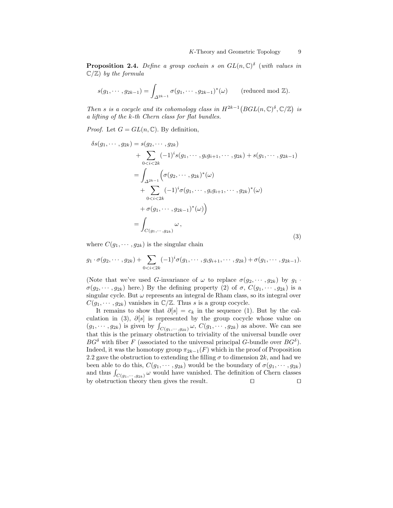**Proposition 2.4.** Define a group cochain s on  $GL(n,\mathbb{C})^{\delta}$  (with values in  $\mathbb{C}/\mathbb{Z}$ ) by the formula

$$
s(g_1,\dots,g_{2k-1})=\int_{\Delta^{2k-1}}\sigma(g_1,\dots,g_{2k-1})^*(\omega)\qquad(\text{reduced mod }\mathbb{Z}).
$$

Then s is a cocycle and its cohomology class in  $H^{2k-1}(BGL(n,\mathbb{C})^{\delta},\mathbb{C}/\mathbb{Z})$  is a lifting of the k-th Chern class for flat bundles.

*Proof.* Let  $G = GL(n, \mathbb{C})$ . By definition,

$$
\delta s(g_1, \dots, g_{2k}) = s(g_2, \dots, g_{2k})
$$
  
+ 
$$
\sum_{0 < i < 2k} (-1)^i s(g_1, \dots, g_i g_{i+1}, \dots, g_{2k}) + s(g_1, \dots, g_{2k-1})
$$
  
= 
$$
\int_{\Delta^{2k-1}} \left( \sigma(g_2, \dots, g_{2k})^* (\omega) + \sum_{0 < i < 2k} (-1)^i \sigma(g_1, \dots, g_i g_{i+1}, \dots, g_{2k})^* (\omega) + \sigma(g_1, \dots, g_{2k-1})^* (\omega) \right)
$$
  
= 
$$
\int_{C(g_1, \dots, g_{2k})} \omega,
$$
 (3)

where  $C(g_1, \dots, g_{2k})$  is the singular chain

$$
g_1 \cdot \sigma(g_2, \dots, g_{2k}) + \sum_{0 < i < 2k} (-1)^i \sigma(g_1, \dots, g_i g_{i+1}, \dots, g_{2k}) + \sigma(g_1, \dots, g_{2k-1}).
$$

(Note that we've used G-invariance of  $\omega$  to replace  $\sigma(g_2, \dots, g_{2k})$  by  $g_1$ .  $\sigma(g_2, \dots, g_{2k})$  here.) By the defining property (2) of  $\sigma$ ,  $C(g_1, \dots, g_{2k})$  is a singular cycle. But  $\omega$  represents an integral de Rham class, so its integral over  $C(g_1, \dots, g_{2k})$  vanishes in  $\mathbb{C}/\mathbb{Z}$ . Thus s is a group cocycle.

It remains to show that  $\partial [s] = c_k$  in the sequence (1). But by the calculation in (3),  $\partial[s]$  is represented by the group cocycle whose value on  $(g_1, \dots, g_{2k})$  is given by  $\int_{C(g_1, \dots, g_{2k})} \omega$ ,  $C(g_1, \dots, g_{2k})$  as above. We can see that this is the primary obstruction to triviality of the universal bundle over  $BG^{\delta}$  with fiber F (associated to the universal principal G-bundle over  $BG^{\delta}$ ). Indeed, it was the homotopy group  $\pi_{2k-1}(F)$  which in the proof of Proposition 2.2 gave the obstruction to extending the filling  $\sigma$  to dimension 2k, and had we been able to do this,  $C(g_1, \dots, g_{2k})$  would be the boundary of  $\sigma(g_1, \dots, g_{2k})$ and thus  $\int_{C(g_1,\dots,g_{2k})} \omega$  would have vanished. The definition of Chern classes by obstruction theory then gives the result.  $\Box$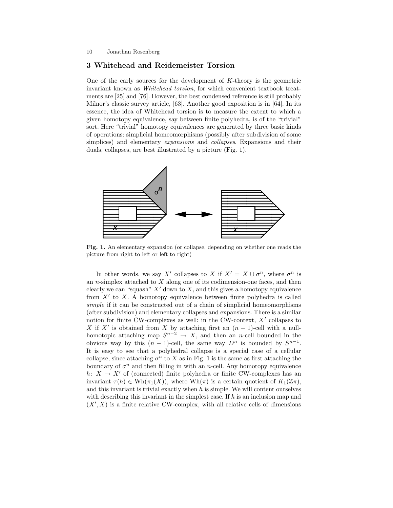## 3 Whitehead and Reidemeister Torsion

One of the early sources for the development of  $K$ -theory is the geometric invariant known as Whitehead torsion, for which convenient textbook treatments are [25] and [76]. However, the best condensed reference is still probably Milnor's classic survey article, [63]. Another good exposition is in [64]. In its essence, the idea of Whitehead torsion is to measure the extent to which a given homotopy equivalence, say between finite polyhedra, is of the "trivial" sort. Here "trivial" homotopy equivalences are generated by three basic kinds of operations: simplicial homeomorphisms (possibly after subdivision of some simplices) and elementary *expansions* and *collapses*. Expansions and their duals, collapses, are best illustrated by a picture (Fig. 1).



Fig. 1. An elementary expansion (or collapse, depending on whether one reads the picture from right to left or left to right)

In other words, we say X' collapses to X if  $X' = X \cup \sigma^n$ , where  $\sigma^n$  is an  $n$ -simplex attached to  $X$  along one of its codimension-one faces, and then clearly we can "squash"  $X'$  down to X, and this gives a homotopy equivalence from  $X'$  to X. A homotopy equivalence between finite polyhedra is called simple if it can be constructed out of a chain of simplicial homeomorphisms (after subdivision) and elementary collapses and expansions. There is a similar notion for finite CW-complexes as well: in the CW-context,  $X'$  collapses to X if X' is obtained from X by attaching first an  $(n - 1)$ -cell with a nullhomotopic attaching map  $S^{n-2} \to X$ , and then an n-cell bounded in the obvious way by this  $(n - 1)$ -cell, the same way  $D<sup>n</sup>$  is bounded by  $S<sup>n-1</sup>$ . It is easy to see that a polyhedral collapse is a special case of a cellular collapse, since attaching  $\sigma^n$  to X as in Fig. 1 is the same as first attaching the boundary of  $\sigma^n$  and then filling in with an *n*-cell. Any homotopy equivalence h:  $X \to X'$  of (connected) finite polyhedra or finite CW-complexes has an invariant  $\tau(h) \in \text{Wh}(\pi_1(X))$ , where  $\text{Wh}(\pi)$  is a certain quotient of  $K_1(\mathbb{Z}\pi)$ , and this invariant is trivial exactly when  $h$  is simple. We will content ourselves with describing this invariant in the simplest case. If  $h$  is an inclusion map and  $(X', X)$  is a finite relative CW-complex, with all relative cells of dimensions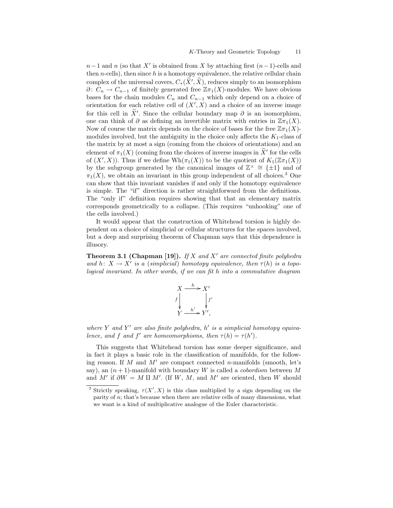$n-1$  and n (so that X' is obtained from X by attaching first  $(n-1)$ -cells and then  $n$ -cells), then since  $h$  is a homotopy equivalence, the relative cellular chain complex of the universal covers,  $C_*(\tilde{X}', \tilde{X})$ , reduces simply to an isomorphism ∂:  $C_n \to C_{n-1}$  of finitely generated free  $\mathbb{Z}(\pi_1(X))$ -modules. We have obvious bases for the chain modules  $C_n$  and  $C_{n-1}$  which only depend on a choice of orientation for each relative cell of  $(X', X)$  and a choice of an inverse image for this cell in  $\tilde{X}'$ . Since the cellular boundary map  $\partial$  is an isomorphism, one can think of  $\partial$  as defining an invertible matrix with entries in  $\mathbb{Z}_{\pi_1}(X)$ . Now of course the matrix depends on the choice of bases for the free  $\mathbb{Z} \pi_1(X)$ modules involved, but the ambiguity in the choice only affects the  $K_1$ -class of the matrix by at most a sign (coming from the choices of orientations) and an element of  $\pi_1(X)$  (coming from the choices of inverse images in  $\overline{X}'$  for the cells of  $(X', X)$ ). Thus if we define  $Wh(\pi_1(X))$  to be the quotient of  $K_1(\mathbb{Z}(\pi_1(X)))$ by the subgroup generated by the canonical images of  $\mathbb{Z}^{\times} \cong {\pm 1}$  and of  $\pi_1(X)$ , we obtain an invariant in this group independent of all choices.<sup>3</sup> One can show that this invariant vanishes if and only if the homotopy equivalence is simple. The "if" direction is rather straightforward from the definitions. The "only if" definition requires showing that that an elementary matrix corresponds geometrically to a collapse. (This requires "unhooking" one of the cells involved.)

It would appear that the construction of Whitehead torsion is highly dependent on a choice of simplicial or cellular structures for the spaces involved, but a deep and surprising theorem of Chapman says that this dependence is illusory.

**Theorem 3.1 (Chapman [19]).** If X and X' are connected finite polyhedra and h:  $X \to X'$  is a (simplicial) homotopy equivalence, then  $\tau(h)$  is a topological invariant. In other words, if we can fit h into a commutative diagram



where Y and Y' are also finite polyhedra,  $h'$  is a simplicial homotopy equivalence, and f and f' are homeomorphisms, then  $\tau(h) = \tau(h')$ .

This suggests that Whitehead torsion has some deeper significance, and in fact it plays a basic role in the classification of manifolds, for the following reason. If M and  $M'$  are compact connected n-manifolds (smooth, let's say), an  $(n+1)$ -manifold with boundary W is called a *cobordism* between M and M' if  $\partial W = M \amalg M'$ . (If W, M, and M' are oriented, then W should

<sup>&</sup>lt;sup>3</sup> Strictly speaking,  $\tau(X', X)$  is this class multiplied by a sign depending on the parity of  $n$ ; that's because when there are relative cells of many dimensions, what we want is a kind of multiplicative analogue of the Euler characteristic.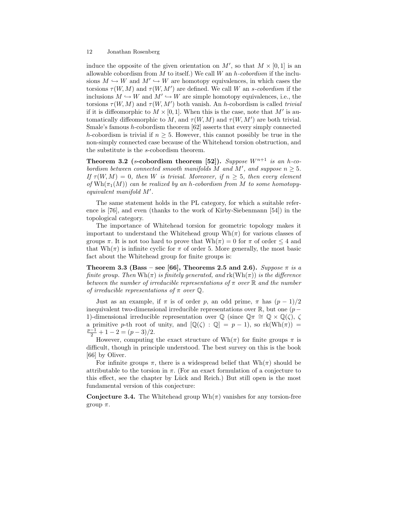induce the opposite of the given orientation on  $M'$ , so that  $M \times [0,1]$  is an allowable cobordism from  $M$  to itself.) We call  $W$  an  $h$ -cobordism if the inclusions  $M \hookrightarrow W$  and  $M' \hookrightarrow W$  are homotopy equivalences, in which cases the torsions  $\tau(W, M)$  and  $\tau(W, M')$  are defined. We call W an s-cobordism if the inclusions  $M \hookrightarrow W$  and  $M' \hookrightarrow W$  are simple homotopy equivalences, i.e., the torsions  $\tau(W, M)$  and  $\tau(W, M')$  both vanish. An h-cobordism is called trivial if it is diffeomorphic to  $M \times [0,1]$ . When this is the case, note that M' is automatically diffeomorphic to M, and  $\tau(W, M)$  and  $\tau(W, M')$  are both trivial. Smale's famous h-cobordism theorem [62] asserts that every simply connected h-cobordism is trivial if  $n \geq 5$ . However, this cannot possibly be true in the non-simply connected case because of the Whitehead torsion obstruction, and the substitute is the s-cobordism theorem.

Theorem 3.2 (s-cobordism theorem [52]). Suppose  $W^{n+1}$  is an h-cobordism between connected smooth manifolds M and M', and suppose  $n \geq 5$ . If  $\tau(W, M) = 0$ , then W is trivial. Moreover, if  $n \geq 5$ , then every element of  $Wh(\pi_1(M))$  can be realized by an h-cobordism from M to some homotopy $equivalent$  manifold  $M'.$ 

The same statement holds in the PL category, for which a suitable reference is [76], and even (thanks to the work of Kirby-Siebenmann [54]) in the topological category.

The importance of Whitehead torsion for geometric topology makes it important to understand the Whitehead group  $Wh(\pi)$  for various classes of groups  $\pi$ . It is not too hard to prove that  $Wh(\pi) = 0$  for  $\pi$  of order  $\leq 4$  and that  $Wh(\pi)$  is infinite cyclic for  $\pi$  of order 5. More generally, the most basic fact about the Whitehead group for finite groups is:

Theorem 3.3 (Bass – see [66], Theorems 2.5 and 2.6). Suppose  $\pi$  is a finite group. Then  $Wh(\pi)$  is finitely generated, and  $rk(Wh(\pi))$  is the difference between the number of irreducible representations of  $\pi$  over  $\mathbb R$  and the number of irreducible representations of  $\pi$  over  $\mathbb{Q}$ .

Just as an example, if  $\pi$  is of order p, an odd prime,  $\pi$  has  $(p-1)/2$ inequivalent two-dimensional irreducible representations over  $\mathbb{R}$ , but one (p – 1)-dimensional irreducible representation over  $\mathbb{Q}$  (since  $\mathbb{Q}\pi \cong \mathbb{Q} \times \mathbb{Q}(\zeta)$ , ζ a primitive p-th root of unity, and  $[\mathbb{Q}(\zeta) : \mathbb{Q}] = p-1$ , so  $rk(\text{Wh}(\pi)) =$  $\frac{p-1}{2} + 1 - 2 = (p-3)/2.$ 

However, computing the exact structure of  $Wh(\pi)$  for finite groups  $\pi$  is difficult, though in principle understood. The best survey on this is the book [66] by Oliver.

For infinite groups  $\pi$ , there is a widespread belief that Wh( $\pi$ ) should be attributable to the torsion in  $\pi$ . (For an exact formulation of a conjecture to this effect, see the chapter by Lück and Reich.) But still open is the most fundamental version of this conjecture:

**Conjecture 3.4.** The Whitehead group  $Wh(\pi)$  vanishes for any torsion-free group  $\pi$ .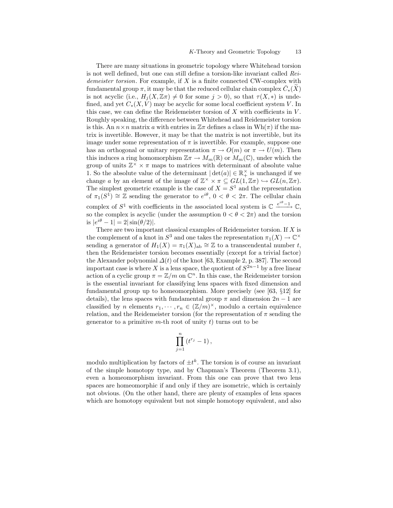There are many situations in geometric topology where Whitehead torsion is not well defined, but one can still define a torsion-like invariant called Reidemeister torsion. For example, if  $X$  is a finite connected CW-complex with fundamental group  $\pi,$  it may be that the reduced cellular chain complex  $\bar C_*(\widetilde X)$ is not acyclic (i.e.,  $H_i(X,\mathbb{Z}\pi) \neq 0$  for some  $j > 0$ ), so that  $\tau(X, *)$  is undefined, and yet  $C_*(X, V)$  may be acyclic for some local coefficient system V. In this case, we can define the Reidemeister torsion of  $X$  with coefficients in  $V$ . Roughly speaking, the difference between Whitehead and Reidemeister torsion is this. An  $n \times n$  matrix a with entries in  $\mathbb{Z}\pi$  defines a class in  $Wh(\pi)$  if the matrix is invertible. However, it may be that the matrix is not invertible, but its image under some representation of  $\pi$  is invertible. For example, suppose one has an orthogonal or unitary representation  $\pi \to O(m)$  or  $\pi \to U(m)$ . Then this induces a ring homomorphism  $\mathbb{Z}\pi \to M_m(\mathbb{R})$  or  $M_m(\mathbb{C})$ , under which the group of units  $\mathbb{Z}^{\times} \times \pi$  maps to matrices with determinant of absolute value 1. So the absolute value of the determinant  $|\det(a)| \in \mathbb{R}_+^{\times}$  is unchanged if we change a by an element of the image of  $\mathbb{Z}^{\times} \times \pi \subseteq GL(1,\mathbb{Z}\pi) \hookrightarrow GL(n,\mathbb{Z}\pi)$ . The simplest geometric example is the case of  $X = S<sup>1</sup>$  and the representation of  $\pi_1(S^1) \cong \mathbb{Z}$  sending the generator to  $e^{i\theta}$ ,  $0 < \theta < 2\pi$ . The cellular chain complex of  $S^1$  with coefficients in the associated local system is  $\mathbb{C} \xrightarrow{e^{i\theta}-1} \mathbb{C}$ , so the complex is acyclic (under the assumption  $0 < \theta < 2\pi$ ) and the torsion is  $|e^{i\theta} - 1| = 2|\sin(\theta/2)|$ .

There are two important classical examples of Reidemeister torsion. If  $X$  is the complement of a knot in  $S^3$  and one takes the representation  $\pi_1(X) \to \mathbb{C}^\times$ sending a generator of  $H_1(X) = \pi_1(X)_{ab} \cong \mathbb{Z}$  to a transcendental number t, then the Reidemeister torsion becomes essentially (except for a trivial factor) the Alexander polynomial  $\Delta(t)$  of the knot [63, Example 2, p. 387]. The second important case is where X is a lens space, the quotient of  $S^{2n-1}$  by a free linear action of a cyclic group  $\pi = \mathbb{Z}/m$  on  $\mathbb{C}^n$ . In this case, the Reidemeister torsion is the essential invariant for classifying lens spaces with fixed dimension and fundamental group up to homeomorphism. More precisely (see [63, §12] for details), the lens spaces with fundamental group  $\pi$  and dimension  $2n - 1$  are classified by *n* elements  $r_1, \dots, r_n \in (\mathbb{Z}/m)^\times$ , modulo a certain equivalence relation, and the Reidemeister torsion (for the representation of  $\pi$  sending the generator to a primitive  $m$ -th root of unity t turns out to be

$$
\prod_{j=1}^n (t^{r_j}-1)\,,
$$

modulo multiplication by factors of  $\pm t^k$ . The torsion is of course an invariant of the simple homotopy type, and by Chapman's Theorem (Theorem 3.1), even a homeomorphism invariant. From this one can prove that two lens spaces are homeomorphic if and only if they are isometric, which is certainly not obvious. (On the other hand, there are plenty of examples of lens spaces which are homotopy equivalent but not simple homotopy equivalent, and also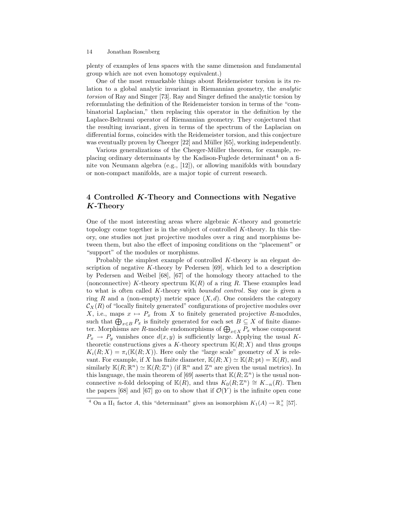plenty of examples of lens spaces with the same dimension and fundamental group which are not even homotopy equivalent.)

One of the most remarkable things about Reidemeister torsion is its relation to a global analytic invariant in Riemannian geometry, the analytic torsion of Ray and Singer [73]. Ray and Singer defined the analytic torsion by reformulating the definition of the Reidemeister torsion in terms of the "combinatorial Laplacian," then replacing this operator in the definition by the Laplace-Beltrami operator of Riemannian geometry. They conjectured that the resulting invariant, given in terms of the spectrum of the Laplacian on differential forms, coincides with the Reidemeister torsion, and this conjecture was eventually proven by Cheeger  $[22]$  and Müller  $[65]$ , working independently.

Various generalizations of the Cheeger-Müller theorem, for example, replacing ordinary determinants by the Kadison-Fuglede determinant <sup>4</sup> on a finite von Neumann algebra (e.g., [12]), or allowing manifolds with boundary or non-compact manifolds, are a major topic of current research.

## 4 Controlled K-Theory and Connections with Negative K-Theory

One of the most interesting areas where algebraic K-theory and geometric topology come together is in the subject of controlled  $K$ -theory. In this theory, one studies not just projective modules over a ring and morphisms between them, but also the effect of imposing conditions on the "placement" or "support" of the modules or morphisms.

Probably the simplest example of controlled K-theory is an elegant description of negative K-theory by Pedersen  $[69]$ , which led to a description by Pedersen and Weibel [68], [67] of the homology theory attached to the (nonconnective) K-theory spectrum  $K(R)$  of a ring R. These examples lead to what is often called K-theory with bounded control. Say one is given a ring R and a (non-empty) metric space  $(X, d)$ . One considers the category  $\mathcal{C}_X(R)$  of "locally finitely generated" configurations of projective modules over X, i.e., maps  $x \mapsto P_x$  from X to finitely generated projective R-modules, such that  $\bigoplus_{x \in B} P_x$  is finitely generated for each set  $B \subseteq X$  of finite diameter. Morphisms are R-module endomorphisms of  $\bigoplus_{x\in X}P_x$  whose component  $P_x \rightarrow P_y$  vanishes once  $d(x, y)$  is sufficiently large. Applying the usual Ktheoretic constructions gives a K-theory spectrum  $K(R; X)$  and thus groups  $K_i(R; X) = \pi_i(\mathbb{K}(R; X))$ . Here only the "large scale" geometry of X is relevant. For example, if X has finite diameter,  $\mathbb{K}(R;X) \simeq \mathbb{K}(R; \mathrm{pt}) = \mathbb{K}(R)$ , and similarly  $\mathbb{K}(R;\mathbb{R}^n) \simeq \mathbb{K}(R;\mathbb{Z}^n)$  (if  $\mathbb{R}^n$  and  $\mathbb{Z}^n$  are given the usual metrics). In this language, the main theorem of [69] asserts that  $\mathbb{K}(R;\mathbb{Z}^n)$  is the usual nonconnective *n*-fold delooping of  $\mathbb{K}(R)$ , and thus  $K_0(R;\mathbb{Z}^n) \cong K_{-n}(R)$ . Then the papers [68] and [67] go on to show that if  $\mathcal{O}(Y)$  is the infinite open cone

<sup>&</sup>lt;sup>4</sup> On a II<sub>1</sub> factor A, this "determinant" gives an isomorphism  $K_1(A) \to \mathbb{R}_+^{\times}$  [57].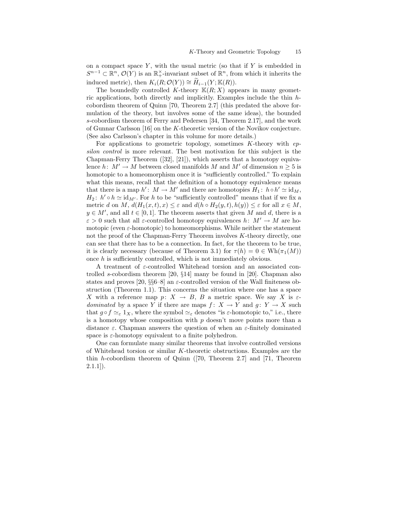on a compact space  $Y$ , with the usual metric (so that if Y is embedded in  $S^{n-1} \subset \mathbb{R}^n$ ,  $\mathcal{O}(Y)$  is an  $\mathbb{R}_+^{\times}$ -invariant subset of  $\mathbb{R}^n$ , from which it inherits the induced metric), then  $K_i(R; \mathcal{O}(Y)) \cong H_{i-1}(Y; \mathbb{K}(R)).$ 

The boundedly controlled K-theory  $\mathbb{K}(R;X)$  appears in many geometric applications, both directly and implicitly. Examples include the thin hcobordism theorem of Quinn [70, Theorem 2.7] (this predated the above formulation of the theory, but involves some of the same ideas), the bounded s-cobordism theorem of Ferry and Pedersen [34, Theorem 2.17], and the work of Gunnar Carlsson [16] on the K-theoretic version of the Novikov conjecture. (See also Carlsson's chapter in this volume for more details.)

For applications to geometric topology, sometimes  $K$ -theory with  $ep$ silon control is more relevant. The best motivation for this subject is the Chapman-Ferry Theorem ([32], [21]), which asserts that a homotopy equivalence h:  $M' \to M$  between closed manifolds M and M' of dimension  $n \geq 5$  is homotopic to a homeomorphism once it is "sufficiently controlled." To explain what this means, recall that the definition of a homotopy equivalence means that there is a map  $h' : M \to M'$  and there are homotopies  $H_1 : h \circ h' \simeq id_M$ ,  $H_2$ :  $h' \circ h \simeq id_{M'}$ . For h to be "sufficiently controlled" means that if we fix a metric d on M,  $d(H_1(x,t), x) \leq \varepsilon$  and  $d(h \circ H_2(y,t), h(y)) \leq \varepsilon$  for all  $x \in M$ ,  $y \in M'$ , and all  $t \in [0, 1]$ . The theorem asserts that given M and d, there is a  $\varepsilon > 0$  such that all  $\varepsilon$ -controlled homotopy equivalences h:  $M' \to M$  are homotopic (even  $\varepsilon$ -homotopic) to homeomorphisms. While neither the statement not the proof of the Chapman-Ferry Theorem involves  $K$ -theory directly, one can see that there has to be a connection. In fact, for the theorem to be true, it is clearly necessary (because of Theorem 3.1) for  $\tau(h) = 0 \in Wh(\pi_1(M))$ once h is sufficiently controlled, which is not immediately obvious.

A treatment of ε-controlled Whitehead torsion and an associated controlled s-cobordism theorem  $[20, §14]$  many be found in  $[20]$ . Chapman also states and proves [20,  $\S6-8$ ] an  $\varepsilon$ -controlled version of the Wall finiteness obstruction (Theorem 1.1). This concerns the situation where one has a space X with a reference map  $p: X \rightarrow B$ , B a metric space. We say X is  $\varepsilon$ dominated by a space Y if there are maps  $f: X \to Y$  and  $g: Y \to X$  such that  $g \circ f \simeq_{\varepsilon} 1_X$ , where the symbol  $\simeq_{\varepsilon}$  denotes "is  $\varepsilon$ -homotopic to," i.e., there is a homotopy whose composition with  $p$  doesn't move points more than a distance  $\varepsilon$ . Chapman answers the question of when an  $\varepsilon$ -finitely dominated space is  $\varepsilon$ -homotopy equivalent to a finite polyhedron.

One can formulate many similar theorems that involve controlled versions of Whitehead torsion or similar K-theoretic obstructions. Examples are the thin h-cobordism theorem of Quinn  $(70,$  Theorem 2.7 and  $[71,$  Theorem  $2.1.1$ ]).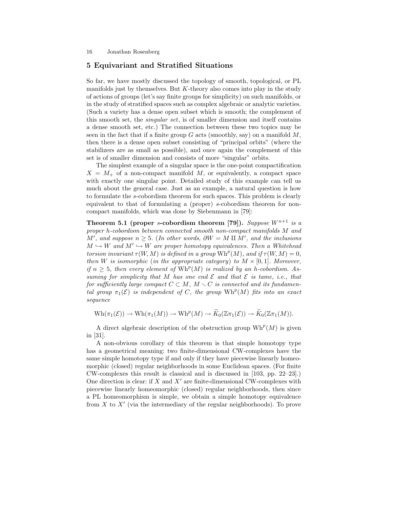## 5 Equivariant and Stratified Situations

So far, we have mostly discussed the topology of smooth, topological, or PL manifolds just by themselves. But  $K$ -theory also comes into play in the study of actions of groups (let's say finite groups for simplicity) on such manifolds, or in the study of stratified spaces such as complex algebraic or analytic varieties. (Such a variety has a dense open subset which is smooth; the complement of this smooth set, the singular set, is of smaller dimension and itself contains a dense smooth set, etc.) The connection between these two topics may be seen in the fact that if a finite group  $G$  acts (smoothly, say) on a manifold  $M$ , then there is a dense open subset consisting of "principal orbits" (where the stabilizers are as small as possible), and once again the complement of this set is of smaller dimension and consists of more "singular" orbits.

The simplest example of a singular space is the one-point compactification  $X = M_{+}$  of a non-compact manifold M, or equivalently, a compact space with exactly one singular point. Detailed study of this example can tell us much about the general case. Just as an example, a natural question is how to formulate the s-cobordism theorem for such spaces. This problem is clearly equivalent to that of formulating a (proper) s-cobordism theorem for noncompact manifolds, which was done by Siebenmann in [79]:

Theorem 5.1 (proper s-cobordism theorem [79]). Suppose  $W^{n+1}$  is a proper h-cobordism between connected smooth non-compact manifolds M and M', and suppose  $n \geq 5$ . (In other words,  $\partial W = M \amalg M'$ , and the inclusions  $M \hookrightarrow W$  and  $M' \hookrightarrow W$  are proper homotopy equivalences. Then a Whitehead torsion invariant  $\tau(W, M)$  is defined in a group  $\operatorname{Wh}^p(M)$ , and if  $\tau(W, M) = 0$ , then W is isomorphic (in the appropriate category) to  $M \times [0,1]$ . Moreover, if  $n \geq 5$ , then every element of  $\text{Wh}^p(M)$  is realized by an h-cobordism. Assuming for simplicity that M has one end  $\mathcal E$  and that  $\mathcal E$  is tame, i.e., that for sufficiently large compact  $C \subset M$ ,  $M \setminus C$  is connected and its fundamental group  $\pi_1(\mathcal{E})$  is independent of C, the group  $\operatorname{Wh}^p(M)$  fits into an exact sequence

$$
\operatorname{Wh}(\pi_1(\mathcal{E})) \to \operatorname{Wh}(\pi_1(M)) \to \operatorname{Wh}^p(M) \to \widetilde{K}_0(\mathbb{Z}\pi_1(\mathcal{E})) \to \widetilde{K}_0(\mathbb{Z}\pi_1(M)).
$$

A direct algebraic description of the obstruction group  $\text{Wh}^p(M)$  is given in [31].

A non-obvious corollary of this theorem is that simple homotopy type has a geometrical meaning: two finite-dimensional CW-complexes have the same simple homotopy type if and only if they have piecewise linearly homeomorphic (closed) regular neighborhoods in some Euclidean spaces. (For finite CW-complexes this result is classical and is discussed in [103, pp. 22–23].) One direction is clear: if  $X$  and  $X'$  are finite-dimensional CW-complexes with piecewise linearly homeomorphic (closed) regular neighborhoods, then since a PL homeomorphism is simple, we obtain a simple homotopy equivalence from  $X$  to  $X'$  (via the intermediary of the regular neighborhoods). To prove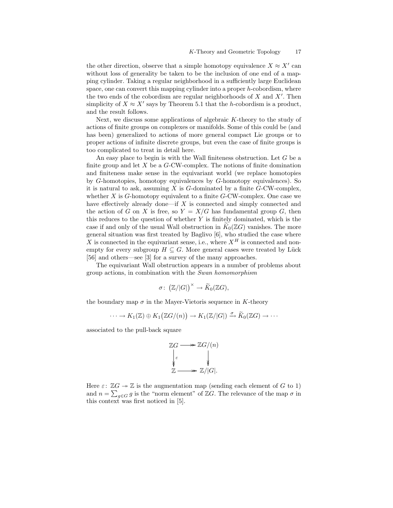the other direction, observe that a simple homotopy equivalence  $X \approx X'$  can without loss of generality be taken to be the inclusion of one end of a mapping cylinder. Taking a regular neighborhood in a sufficiently large Euclidean space, one can convert this mapping cylinder into a proper h-cobordism, where the two ends of the cobordism are regular neighborhoods of  $X$  and  $X'$ . Then simplicity of  $X \approx X'$  says by Theorem 5.1 that the h-cobordism is a product, and the result follows.

Next, we discuss some applications of algebraic  $K$ -theory to the study of actions of finite groups on complexes or manifolds. Some of this could be (and has been) generalized to actions of more general compact Lie groups or to proper actions of infinite discrete groups, but even the case of finite groups is too complicated to treat in detail here.

An easy place to begin is with the Wall finiteness obstruction. Let G be a finite group and let  $X$  be a  $G$ -CW-complex. The notions of finite domination and finiteness make sense in the equivariant world (we replace homotopies by G-homotopies, homotopy equivalences by G-homotopy equivalences). So it is natural to ask, assuming  $X$  is  $G$ -dominated by a finite  $G$ -CW-complex, whether  $X$  is  $G$ -homotopy equivalent to a finite  $G$ -CW-complex. One case we have effectively already done—if  $X$  is connected and simply connected and the action of G on X is free, so  $Y = X/G$  has fundamental group G, then this reduces to the question of whether  $Y$  is finitely dominated, which is the case if and only of the usual Wall obstruction in  $K_0(\mathbb{Z}G)$  vanishes. The more general situation was first treated by Baglivo [6], who studied the case where X is connected in the equivariant sense, i.e., where  $X^H$  is connected and nonempty for every subgroup  $H \subseteq G$ . More general cases were treated by Lück [56] and others—see [3] for a survey of the many approaches.

The equivariant Wall obstruction appears in a number of problems about group actions, in combination with the Swan homomorphism

$$
\sigma\colon \left(\mathbb{Z}/|G|\right)^{\times}\to \widetilde{K}_0(\mathbb{Z}G),
$$

the boundary map  $\sigma$  in the Mayer-Vietoris sequence in K-theory

$$
\cdots \to K_1(\mathbb{Z}) \oplus K_1(\mathbb{Z}G/(n)) \to K_1(\mathbb{Z}/|G|) \xrightarrow{\sigma} \widetilde{K}_0(\mathbb{Z}G) \to \cdots
$$

associated to the pull-back square

$$
\mathbb{Z}G \longrightarrow \mathbb{Z}G/(n)
$$
  
\n
$$
\downarrow_{\varepsilon} \qquad \qquad \downarrow_{\mathbb{Z}} \longrightarrow \mathbb{Z}/|G|.
$$

Here  $\varepsilon$ :  $\mathbb{Z}G \to \mathbb{Z}$  is the augmentation map (sending each element of G to 1) and  $n = \sum_{g \in G} g$  is the "norm element" of  $\mathbb{Z}G$ . The relevance of the map  $\sigma$  in this context was first noticed in [5].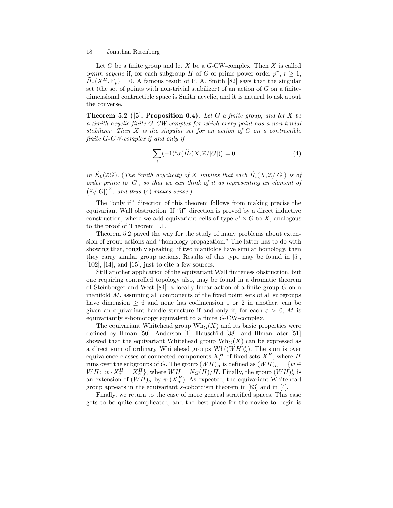Let G be a finite group and let X be a  $G$ -CW-complex. Then X is called Smith acyclic if, for each subgroup H of G of prime power order  $p^r$ ,  $r \geq 1$ ,  $H_*(X^H,\mathbb{F}_p) = 0.$  A famous result of P. A. Smith [82] says that the singular set (the set of points with non-trivial stabilizer) of an action of  $G$  on a finitedimensional contractible space is Smith acyclic, and it is natural to ask about the converse.

**Theorem 5.2** ([5], Proposition 0.4). Let G a finite group, and let X be a Smith acyclic finite G-CW-complex for which every point has a non-trivial stabilizer. Then  $X$  is the singular set for an action of  $G$  on a contractible finite G-CW-complex if and only if

$$
\sum_{i} (-1)^{i} \sigma\left(\widetilde{H}_{i}(X,\mathbb{Z}/|G|)\right) = 0
$$
\n(4)

in  $\widetilde{K}_0(\mathbb{Z}G)$ . (The Smith acyclicity of X implies that each  $\widetilde{H}_i(X,\mathbb{Z}/|G|)$  is of order prime to |G|, so that we can think of it as representing an element of  $(\mathbb{Z}/|G|)^{\times}$ , and thus (4) makes sense.)

The "only if" direction of this theorem follows from making precise the equivariant Wall obstruction. If "if" direction is proved by a direct inductive construction, where we add equivariant cells of type  $e^i \times G$  to X, analogous to the proof of Theorem 1.1.

Theorem 5.2 paved the way for the study of many problems about extension of group actions and "homology propagation." The latter has to do with showing that, roughly speaking, if two manifolds have similar homology, then they carry similar group actions. Results of this type may be found in [5],  $[102]$ ,  $[14]$ , and  $[15]$ , just to cite a few sources.

Still another application of the equivariant Wall finiteness obstruction, but one requiring controlled topology also, may be found in a dramatic theorem of Steinberger and West  $[84]$ : a locally linear action of a finite group G on a manifold M, assuming all components of the fixed point sets of all subgroups have dimension  $\geq 6$  and none has codimension 1 or 2 in another, can be given an equivariant handle structure if and only if, for each  $\varepsilon > 0$ , M is equivariantly  $\varepsilon$ -homotopy equivalent to a finite  $G$ -CW-complex.

The equivariant Whitehead group  $Wh_G(X)$  and its basic properties were defined by Illman [50]. Anderson [1], Hauschild [38], and Illman later [51] showed that the equivariant Whitehead group  $Wh_G(X)$  can be expressed as a direct sum of ordinary Whitehead groups  $Wh((WH)^*_{\alpha})$ . The sum is over equivalence classes of connected components  $X^H_\alpha$  of fixed sets  $X^H$ , where H runs over the subgroups of G. The group  $(WH)_{\alpha}$  is defined as  $(WH)_{\alpha} = \{w \in$  $WH: w \cdot X_{\alpha}^H = X_{\alpha}^H$ , where  $WH = N_G(H)/H$ . Finally, the group  $(WH)_{\alpha}^*$  is an extension of  $(WH)_{\alpha}$  by  $\pi_1(X_{\alpha}^H)$ . As expected, the equivariant Whitehead group appears in the equivariant s-cobordism theorem in [83] and in [4].

Finally, we return to the case of more general stratified spaces. This case gets to be quite complicated, and the best place for the novice to begin is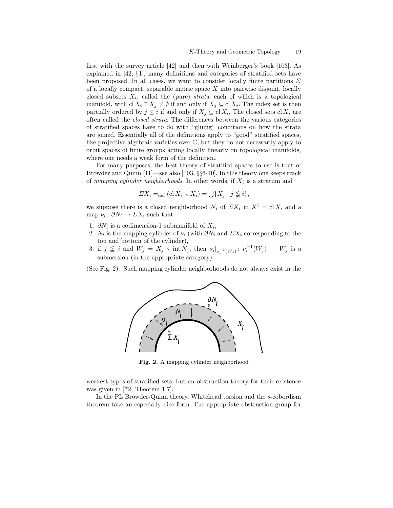first with the survey article [42] and then with Weinberger's book [103]. As explained in [42, §1], many definitions and categories of stratified sets have been proposed. In all cases, we want to consider locally finite partitions  $\Sigma$ of a locally compact, separable metric space  $X$  into pairwise disjoint, locally closed subsets  $X_i$ , called the (pure) strata, each of which is a topological manifold, with  $\text{cl } X_i \cap X_j \neq \emptyset$  if and only if  $X_j \subseteq \text{cl } X_i$ . The index set is then partially ordered by  $j \leq i$  if and only if  $X_j \subseteq \text{cl } X_i$ . The closed sets  $\text{cl } X_i$  are often called the closed strata. The differences between the various categories of stratified spaces have to do with "gluing" conditions on how the strata are joined. Essentially all of the definitions apply to "good" stratified spaces, like projective algebraic varieties over C, but they do not necessarily apply to orbit spaces of finite groups acting locally linearly on topological manifolds, where one needs a weak form of the definition.

For many purposes, the best theory of stratified spaces to use is that of Browder and Quinn [11]—see also [103, §§6-10]. In this theory one keeps track of mapping cylinder neighborhoods. In other words, if  $X_i$  is a stratum and

$$
\Sigma X_i =_{\text{def}} (\text{cl } X_i \setminus X_i) = \bigcup \{ X_j \mid j \subsetneqq i \},
$$

we suppose there is a closed neighborhood  $N_i$  of  $\sum X_i$  in  $X^i = \text{cl } X_i$  and a map  $\nu_i : \partial N_i \to \Sigma X_i$  such that:

- 1.  $\partial N_i$  is a codimension-1 submanifold of  $X_i$ ,
- 2.  $N_i$  is the mapping cylinder of  $\nu_i$  (with  $\partial N_i$  and  $\Sigma X_i$  corresponding to the top and bottom of the cylinder),
- 3. if  $j \leq i$  and  $W_j = X_j \setminus \text{int } N_j$ , then  $\nu_i|_{\nu_i^{-1}(W_j)} \colon \nu_i^{-1}(W_j) \to W_j$  is a submersion (in the appropriate category).

(See Fig. 2). Such mapping cylinder neighborhoods do not always exist in the



Fig. 2. A mapping cylinder neighborhood

weakest types of stratified sets, but an obstruction theory for their existence was given in [72, Theorem 1.7].

In the PL Browder-Quinn theory, Whitehead torsion and the s-cobordism theorem take an especially nice form. The appropriate obstruction group for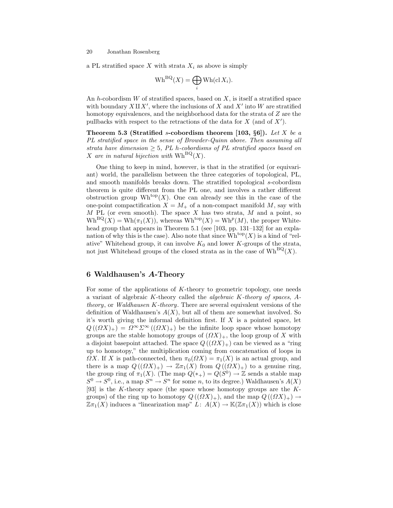a PL stratified space X with strata  $X_i$  as above is simply

$$
\operatorname{Wh}^{\mathrm{BQ}}(X) = \bigoplus_i \operatorname{Wh}(\operatorname{cl} X_i).
$$

An h-cobordism  $W$  of stratified spaces, based on  $X$ , is itself a stratified space with boundary  $X \amalg X'$ , where the inclusions of X and X' into W are stratified homotopy equivalences, and the neighborhood data for the strata of Z are the pullbacks with respect to the retractions of the data for  $X$  (and of  $X'$ ).

Theorem 5.3 (Stratified s-cobordism theorem [103,  $\S6$ ]). Let X be a PL stratified space in the sense of Browder-Quinn above. Then assuming all strata have dimension  $\geq$  5, PL h-cobordisms of PL stratified spaces based on X are in natural bijection with  $Wh^{BQ}(X)$ .

One thing to keep in mind, however, is that in the stratified (or equivariant) world, the parallelism between the three categories of topological, PL, and smooth manifolds breaks down. The stratified topological s-cobordism theorem is quite different from the PL one, and involves a rather different obstruction group  $\text{Wh}^{\text{top}}(X)$ . One can already see this in the case of the one-point compactification  $X = M_+$  of a non-compact manifold M, say with M PL (or even smooth). The space X has two strata, M and a point, so  $\operatorname{Wh}^{\mathrm{BQ}}(X) = \operatorname{Wh}(\pi_1(X))$ , whereas  $\operatorname{Wh}^{\mathrm{top}}(X) = \operatorname{Wh}^p(M)$ , the proper Whitehead group that appears in Theorem 5.1 (see [103, pp. 131–132] for an explanation of why this is the case). Also note that since  $Wh<sup>top</sup>(X)$  is a kind of "relative" Whitehead group, it can involve  $K_0$  and lower K-groups of the strata, not just Whitehead groups of the closed strata as in the case of  $Wh^{BQ}(X)$ .

## 6 Waldhausen's A-Theory

For some of the applications of  $K$ -theory to geometric topology, one needs a variant of algebraic K-theory called the algebraic K-theory of spaces, Atheory, or Waldhausen K-theory. There are several equivalent versions of the definition of Waldhausen's  $A(X)$ , but all of them are somewhat involved. So it's worth giving the informal definition first. If  $X$  is a pointed space, let  $Q((\Omega X)_+) = \Omega^{\infty} \Sigma^{\infty} ((\Omega X)_+)$  be the infinite loop space whose homotopy groups are the stable homotopy groups of  $(\Omega X)_+$ , the loop group of X with a disjoint basepoint attached. The space  $Q((\Omega X)_+)$  can be viewed as a "ring" up to homotopy," the multiplication coming from concatenation of loops in  $\Omega X$ . If X is path-connected, then  $\pi_0(\Omega X) = \pi_1(X)$  is an actual group, and there is a map  $Q((\Omega X)_+) \to \mathbb{Z}\pi_1(X)$  from  $Q((\Omega X)_+)$  to a genuine ring, the group ring of  $\pi_1(X)$ . (The map  $Q(*) = Q(S^0) \to \mathbb{Z}$  sends a stable map  $S^0 \to S^0$ , i.e., a map  $S^n \to S^n$  for some n, to its degree.) Waldhausen's  $A(X)$ [93] is the K-theory space (the space whose homotopy groups are the  $K$ groups) of the ring up to homotopy  $Q((\Omega X)_+)$ , and the map  $Q((\Omega X)_+) \to$  $\mathbb{Z}\pi_1(X)$  induces a "linearization map"  $L: A(X) \to \mathbb{K}(\mathbb{Z}\pi_1(X))$  which is close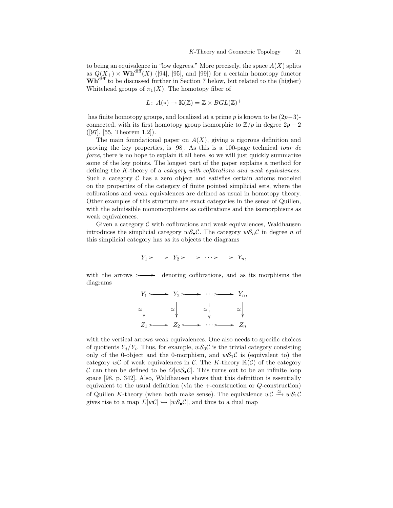to being an equivalence in "low degrees." More precisely, the space  $A(X)$  splits as  $Q(X_+) \times \textbf{Wh}^{\text{diff}}(X)$  ([94], [95], and [99]) for a certain homotopy functor Wh<sup>diff</sup> to be discussed further in Section 7 below, but related to the (higher) Whitehead groups of  $\pi_1(X)$ . The homotopy fiber of

$$
L\colon A(*) \to \mathbb{K}(\mathbb{Z}) = \mathbb{Z} \times BGL(\mathbb{Z})^+
$$

has finite homotopy groups, and localized at a prime p is known to be  $(2p-3)$ connected, with its first homotopy group isomorphic to  $\mathbb{Z}/p$  in degree  $2p-2$ ([97], [55, Theorem 1.2]).

The main foundational paper on  $A(X)$ , giving a rigorous definition and proving the key properties, is [98]. As this is a 100-page technical tour de force, there is no hope to explain it all here, so we will just quickly summarize some of the key points. The longest part of the paper explains a method for defining the K-theory of a category with cofibrations and weak equivalences. Such a category  $C$  has a zero object and satisfies certain axioms modeled on the properties of the category of finite pointed simplicial sets, where the cofibrations and weak equivalences are defined as usual in homotopy theory. Other examples of this structure are exact categories in the sense of Quillen, with the admissible monomorphisms as cofibrations and the isomorphisms as weak equivalences.

Given a category  $\mathcal C$  with cofibrations and weak equivalences, Waldhausen introduces the simplicial category  $wS_{\bullet}C$ . The category  $wS_{n}C$  in degree n of this simplicial category has as its objects the diagrams

$$
Y_1 \longrightarrow Y_2 \longrightarrow \cdots \longrightarrow Y_n,
$$

with the arrows  $\rightarrow$  denoting cofibrations, and as its morphisms the diagrams



with the vertical arrows weak equivalences. One also needs to specific choices of quotients  $Y_j/Y_i$ . Thus, for example,  $wS_0C$  is the trivial category consisting only of the 0-object and the 0-morphism, and  $wS_1C$  is (equivalent to) the category  $w\mathcal{C}$  of weak equivalences in  $\mathcal{C}$ . The K-theory  $\mathbb{K}(\mathcal{C})$  of the category C can then be defined to be  $\Omega |wS_{\bullet}C|$ . This turns out to be an infinite loop space [98, p. 342]. Also, Waldhausen shows that this definition is essentially equivalent to the usual definition (via the  $+$ -construction or  $Q$ -construction) of Quillen K-theory (when both make sense). The equivalence  $w\mathcal{C} \xrightarrow{\simeq} w\mathcal{S}_1\mathcal{C}$ gives rise to a map  $\Sigma |w\mathcal{C}| \hookrightarrow |w\mathcal{S}_\bullet \mathcal{C}|$ , and thus to a dual map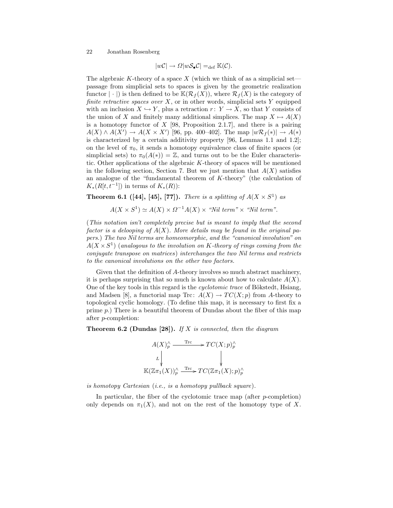$$
|w\mathcal{C}| \to \Omega |w\mathcal{S}_{\bullet}\mathcal{C}| =_{\text{def}} \mathbb{K}(\mathcal{C}).
$$

The algebraic K-theory of a space  $X$  (which we think of as a simplicial set passage from simplicial sets to spaces is given by the geometric realization functor  $|\cdot|$  is then defined to be  $\mathbb{K}(\mathcal{R}_f(X))$ , where  $\mathcal{R}_f(X)$  is the category of finite retractive spaces over  $X$ , or in other words, simplicial sets  $Y$  equipped with an inclusion  $X \hookrightarrow Y$ , plus a retraction  $r: Y \to X$ , so that Y consists of the union of X and finitely many additional simplices. The map  $X \mapsto A(X)$ is a homotopy functor of  $X$  [98, Proposition 2.1.7], and there is a pairing  $A(X) \wedge A(X') \rightarrow A(X \times X')$  [96, pp. 400–402]. The map  $|w\mathcal{R}_f(*)| \rightarrow A(*)$ is characterized by a certain additivity property [96, Lemmas 1.1 and 1.2]; on the level of  $\pi_0$ , it sends a homotopy equivalence class of finite spaces (or simplicial sets) to  $\pi_0(A(*))=\mathbb{Z}$ , and turns out to be the Euler characteristic. Other applications of the algebraic  $K$ -theory of spaces will be mentioned in the following section, Section 7. But we just mention that  $A(X)$  satisfies an analogue of the "fundamental theorem of K-theory" (the calculation of  $K_*(R[t, t^{-1}])$  in terms of  $K_*(R)$ :

**Theorem 6.1** ([44], [45], [77]). There is a splitting of  $A(X \times S^1)$  as

 $A(X \times S^1) \simeq A(X) \times \Omega^{-1} A(X) \times \text{``Nil term''} \times \text{``Nil term''}.$ 

(This notation isn't completely precise but is meant to imply that the second factor is a delooping of  $A(X)$ . More details may be found in the original papers.) The two Nil terms are homeomorphic, and the "canonical involution" on  $A(X\times S^1)$  (analogous to the involution on K-theory of rings coming from the conjugate transpose on matrices) interchanges the two Nil terms and restricts to the canonical involutions on the other two factors.

Given that the definition of A-theory involves so much abstract machinery, it is perhaps surprising that so much is known about how to calculate  $A(X)$ . One of the key tools in this regard is the *cyclotomic trace* of Bökstedt, Hsiang, and Madsen [8], a functorial map Trc:  $A(X) \to TC(X; p)$  from A-theory to topological cyclic homology. (To define this map, it is necessary to first fix a prime p.) There is a beautiful theorem of Dundas about the fiber of this map after p-completion:

**Theorem 6.2 (Dundas [28]).** If X is connected, then the diagram

$$
A(X)^{\wedge}_{p} \xrightarrow{\text{Trc}} TC(X;p)^{\wedge}_{p}
$$
  
\n
$$
L \downarrow \qquad \qquad \downarrow
$$
  
\n
$$
\mathbb{K}(\mathbb{Z}\pi_{1}(X))^{ \wedge}_{p} \xrightarrow{\text{Trc}} TC(\mathbb{Z}\pi_{1}(X); p)^{\wedge}_{p}
$$

is homotopy Cartesian (i.e., is a homotopy pullback square).

In particular, the fiber of the cyclotomic trace map (after p-completion) only depends on  $\pi_1(X)$ , and not on the rest of the homotopy type of X.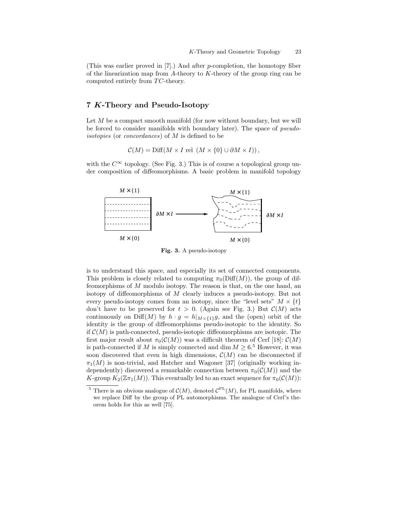(This was earlier proved in [7].) And after p-completion, the homotopy fiber of the linearization map from  $A$ -theory to  $K$ -theory of the group ring can be computed entirely from TC-theory.

## 7 K-Theory and Pseudo-Isotopy

Let  $M$  be a compact smooth manifold (for now without boundary, but we will be forced to consider manifolds with boundary later). The space of pseudoisotopies (or concordances) of M is defined to be

$$
\mathcal{C}(M) = \text{Diff}(M \times I \text{ rel } (M \times \{0\} \cup \partial M \times I)),
$$

with the  $C^{\infty}$  topology. (See Fig. 3.) This is of course a topological group under composition of diffeomorphisms. A basic problem in manifold topology



Fig. 3. A pseudo-isotopy

is to understand this space, and especially its set of connected components. This problem is closely related to computing  $\pi_0(\text{Diff}(M))$ , the group of diffeomorphisms of M modulo isotopy. The reason is that, on the one hand, an isotopy of diffeomorphisms of M clearly induces a pseudo-isotopy. But not every pseudo-isotopy comes from an isotopy, since the "level sets"  $M \times \{t\}$ don't have to be preserved for  $t > 0$ . (Again see Fig. 3.) But  $\mathcal{C}(M)$  acts continuously on Diff(M) by  $h \cdot g = h|_{M \times \{1\}}g$ , and the (open) orbit of the identity is the group of diffeomorphisms pseudo-isotopic to the identity. So if  $\mathcal{C}(M)$  is path-connected, pseudo-isotopic diffeomorphisms are isotopic. The first major result about  $\pi_0(\mathcal{C}(M))$  was a difficult theorem of Cerf [18]:  $\mathcal{C}(M)$ is path-connected if M is simply connected and dim  $M \geq 6$ .<sup>5</sup> However, it was soon discovered that even in high dimensions,  $\mathcal{C}(M)$  can be disconnected if  $\pi_1(M)$  is non-trivial, and Hatcher and Wagoner [37] (originally working independently) discovered a remarkable connection between  $\pi_0(\mathcal{C}(M))$  and the K-group  $K_2(\mathbb{Z}\pi_1(M))$ . This eventually led to an exact sequence for  $\pi_0(\mathcal{C}(M))$ :

<sup>&</sup>lt;sup>5</sup> There is an obvious analogue of  $\mathcal{C}(M)$ , denoted  $\mathcal{C}^{\text{PL}}(M)$ , for PL manifolds, where we replace Diff by the group of PL automorphisms. The analogue of Cerf's theorem holds for this as well [75].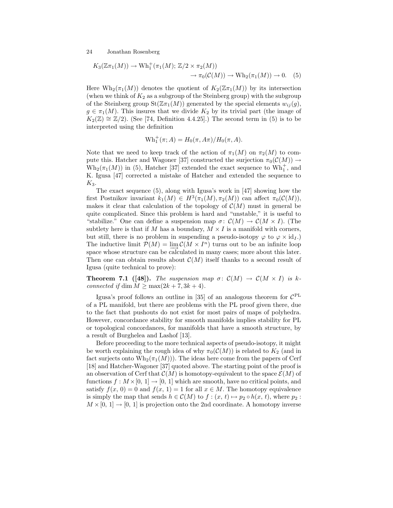$$
K_3(\mathbb{Z}\pi_1(M)) \to \text{Wh}_1^+(\pi_1(M); \mathbb{Z}/2 \times \pi_2(M))
$$
  

$$
\to \pi_0(\mathcal{C}(M)) \to \text{Wh}_2(\pi_1(M)) \to 0.
$$
 (5)

Here  $Wh_2(\pi_1(M))$  denotes the quotient of  $K_2(\mathbb{Z}\pi_1(M))$  by its intersection (when we think of  $K_2$  as a subgroup of the Steinberg group) with the subgroup of the Steinberg group  $\text{St}(\mathbb{Z}\pi_1(M))$  generated by the special elements  $w_{ij}(g)$ ,  $g \in \pi_1(M)$ . This insures that we divide  $K_2$  by its trivial part (the image of  $K_2(\mathbb{Z}) \cong \mathbb{Z}/2$ . (See [74, Definition 4.4.25].) The second term in (5) is to be interpreted using the definition

$$
Wh_1^+(\pi; A) = H_0(\pi, A\pi)/H_0(\pi, A).
$$

Note that we need to keep track of the action of  $\pi_1(M)$  on  $\pi_2(M)$  to compute this. Hatcher and Wagoner [37] constructed the surjection  $\pi_0(\mathcal{C}(M)) \to$  $\operatorname{Wh}_2(\pi_1(M))$  in (5), Hatcher [37] extended the exact sequence to  $\operatorname{Wh}_1^+$ , and K. Igusa [47] corrected a mistake of Hatcher and extended the sequence to  $K_3$ .

The exact sequence (5), along with Igusa's work in [47] showing how the first Postnikov invariant  $k_1(M) \in H^3(\pi_1(M), \pi_2(M))$  can affect  $\pi_0(\mathcal{C}(M))$ , makes it clear that calculation of the topology of  $\mathcal{C}(M)$  must in general be quite complicated. Since this problem is hard and "unstable," it is useful to "stabilize." One can define a suspension map  $\sigma: \mathcal{C}(M) \to \mathcal{C}(M \times I)$ . (The subtlety here is that if M has a boundary,  $M \times I$  is a manifold with corners, but still, there is no problem in suspending a pseudo-isotopy  $\varphi$  to  $\varphi \times id_1$ . The inductive limit  $\mathcal{P}(M) = \lim_{n \to \infty} \mathcal{C}(M \times I^n)$  turns out to be an infinite loop space whose structure can be calculated in many cases; more about this later. Then one can obtain results about  $\mathcal{C}(M)$  itself thanks to a second result of Igusa (quite technical to prove):

**Theorem 7.1** ([48]). The suspension map  $\sigma: \mathcal{C}(M) \to \mathcal{C}(M \times I)$  is kconnected if dim  $M \ge \max(2k + 7, 3k + 4)$ .

Igusa's proof follows an outline in [35] of an analogous theorem for  $C^{PL}$ of a PL manifold, but there are problems with the PL proof given there, due to the fact that pushouts do not exist for most pairs of maps of polyhedra. However, concordance stability for smooth manifolds implies stability for PL or topological concordances, for manifolds that have a smooth structure, by a result of Burghelea and Lashof [13].

Before proceeding to the more technical aspects of pseudo-isotopy, it might be worth explaining the rough idea of why  $\pi_0(\mathcal{C}(M))$  is related to  $K_2$  (and in fact surjects onto  $Wh_2(\pi_1(M))$ . The ideas here come from the papers of Cerf [18] and Hatcher-Wagoner [37] quoted above. The starting point of the proof is an observation of Cerf that  $\mathcal{C}(M)$  is homotopy-equivalent to the space  $\mathcal{E}(M)$  of functions  $f: M \times [0, 1] \to [0, 1]$  which are smooth, have no critical points, and satisfy  $f(x, 0) = 0$  and  $f(x, 1) = 1$  for all  $x \in M$ . The homotopy equivalence is simply the map that sends  $h \in \mathcal{C}(M)$  to  $f : (x, t) \mapsto p_2 \circ h(x, t)$ , where  $p_2$ :  $M \times [0, 1] \rightarrow [0, 1]$  is projection onto the 2nd coordinate. A homotopy inverse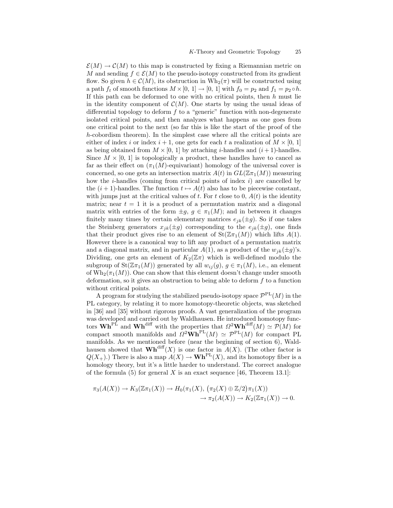$\mathcal{E}(M) \to \mathcal{C}(M)$  to this map is constructed by fixing a Riemannian metric on M and sending  $f \in \mathcal{E}(M)$  to the pseudo-isotopy constructed from its gradient flow. So given  $h \in \mathcal{C}(M)$ , its obstruction in  $Wh_2(\pi)$  will be constructed using a path  $f_t$  of smooth functions  $M \times [0, 1] \rightarrow [0, 1]$  with  $f_0 = p_2$  and  $f_1 = p_2 \circ h$ . If this path can be deformed to one with no critical points, then  $h$  must lie in the identity component of  $\mathcal{C}(M)$ . One starts by using the usual ideas of differential topology to deform  $f$  to a "generic" function with non-degenerate isolated critical points, and then analyzes what happens as one goes from one critical point to the next (so far this is like the start of the proof of the h-cobordism theorem). In the simplest case where all the critical points are either of index i or index  $i + 1$ , one gets for each t a realization of  $M \times [0, 1]$ as being obtained from  $M \times [0, 1]$  by attaching *i*-handles and  $(i + 1)$ -handles. Since  $M \times [0, 1]$  is topologically a product, these handles have to cancel as far as their effect on  $(\pi_1(M))$ -equivariant) homology of the universal cover is concerned, so one gets an intersection matrix  $A(t)$  in  $GL(\mathbb{Z}_{\pi_1}(M))$  measuring how the *i*-handles (coming from critical points of index  $i$ ) are cancelled by the  $(i + 1)$ -handles. The function  $t \mapsto A(t)$  also has to be piecewise constant, with jumps just at the critical values of t. For t close to 0,  $A(t)$  is the identity matrix; near  $t = 1$  it is a product of a permutation matrix and a diagonal matrix with entries of the form  $\pm g$ ,  $g \in \pi_1(M)$ ; and in between it changes finitely many times by certain elementary matrices  $e_{ik}(\pm g)$ . So if one takes the Steinberg generators  $x_{jk}(\pm g)$  corresponding to the  $e_{jk}(\pm g)$ , one finds that their product gives rise to an element of  $St(\mathbb{Z}_{\pi_1}(M))$  which lifts  $A(1)$ . However there is a canonical way to lift any product of a permutation matrix and a diagonal matrix, and in particular  $A(1)$ , as a product of the  $w_{jk}(\pm g)$ 's. Dividing, one gets an element of  $K_2(\mathbb{Z}\pi)$  which is well-defined modulo the subgroup of  $\text{St}(\mathbb{Z}\pi_1(M))$  generated by all  $w_{ij}(g), g \in \pi_1(M)$ , i.e., an element of  $Wh_2(\pi_1(M))$ . One can show that this element doesn't change under smooth deformation, so it gives an obstruction to being able to deform  $f$  to a function without critical points.

A program for studying the stabilized pseudo-isotopy space  $\mathcal{P}^{\text{PL}}(M)$  in the PL category, by relating it to more homotopy-theoretic objects, was sketched in [36] and [35] without rigorous proofs. A vast generalization of the program was developed and carried out by Waldhausen. He introduced homotopy functors  $\text{Wh}^{\text{PL}}$  and  $\text{Wh}^{\text{diff}}$  with the properties that  $\Omega^2 \text{Wh}^{\text{diff}}(M) \simeq \mathcal{P}(M)$  for compact smooth manifolds and  $\Omega^2 \mathbf{Wh}^{\text{PL}}(M) \simeq \mathcal{P}^{\text{PL}}(M)$  for compact PL manifolds. As we mentioned before (near the beginning of section 6), Waldhausen showed that  $\text{Wh}^{\text{diff}}(X)$  is one factor in  $A(X)$ . (The other factor is  $Q(X_{+})$ .) There is also a map  $A(X) \to \textbf{Wh}^{\text{PL}}(X)$ , and its homotopy fiber is a homology theory, but it's a little harder to understand. The correct analogue of the formula (5) for general X is an exact sequence [46, Theorem 13.1]:

$$
\pi_3(A(X)) \to K_3(\mathbb{Z}\pi_1(X)) \to H_0(\pi_1(X), \left(\pi_2(X) \oplus \mathbb{Z}/2\right) \pi_1(X))
$$

$$
\to \pi_2(A(X)) \to K_2(\mathbb{Z}\pi_1(X)) \to 0.
$$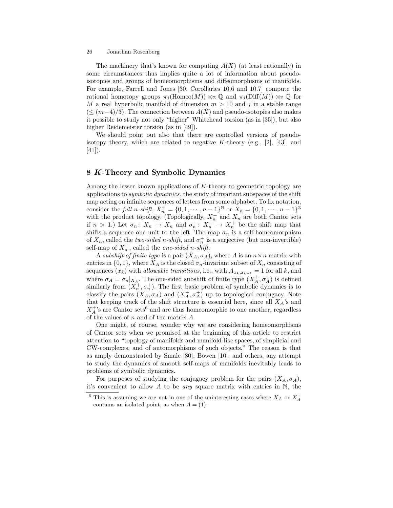The machinery that's known for computing  $A(X)$  (at least rationally) in some circumstances thus implies quite a lot of information about pseudoisotopies and groups of homeomorphisms and diffeomorphisms of manifolds. For example, Farrell and Jones [30, Corollaries 10.6 and 10.7] compute the rational homotopy groups  $\pi_i(\text{Homeo}(M)) \otimes_{\mathbb{Z}} \mathbb{Q}$  and  $\pi_i(\text{Diff}(M)) \otimes_{\mathbb{Z}} \mathbb{Q}$  for M a real hyperbolic manifold of dimension  $m > 10$  and j in a stable range  $(\leq (m-4)/3)$ . The connection between  $A(X)$  and pseudo-isotopies also makes it possible to study not only "higher" Whitehead torsion (as in [35]), but also higher Reidemeister torsion (as in [49]).

We should point out also that there are controlled versions of pseudoisotopy theory, which are related to negative K-theory (e.g., [2], [43], and  $[41]$ .

## 8 K-Theory and Symbolic Dynamics

Among the lesser known applications of K-theory to geometric topology are applications to symbolic dynamics, the study of invariant subspaces of the shift map acting on infinite sequences of letters from some alphabet. To fix notation, consider the *full n-shift*,  $X_n^+ = \{0, 1, \dots, n-1\}^{\mathbb{N}}$  or  $X_n = \{0, 1, \dots, n-1\}^{\mathbb{Z}}$ with the product topology. (Topologically,  $X_n^+$  and  $X_n$  are both Cantor sets if  $n > 1$ .) Let  $\sigma_n: X_n \to X_n$  and  $\sigma_n^+: X_n^+ \to X_n^+$  be the shift map that shifts a sequence one unit to the left. The map  $\sigma_n$  is a self-homeomorphism of  $X_n$ , called the *two-sided n-shift*, and  $\sigma_n^+$  is a surjective (but non-invertible) self-map of  $X_n^+$ , called the *one-sided n-shift*.

A subshift of finite type is a pair  $(X_A, \sigma_A)$ , where A is an  $n \times n$  matrix with entries in  $\{0,1\}$ , where  $X_A$  is the closed  $\sigma_n$ -invariant subset of  $X_n$  consisting of sequences  $(x_k)$  with *allowable transitions*, i.e., with  $A_{x_k,x_{k+1}} = 1$  for all k, and where  $\sigma_A = \sigma_n |_{X_A}$ . The one-sided subshift of finite type  $(X_A^+, \sigma_A^+)$  is defined similarly from  $(X_n^+, \sigma_n^+)$ . The first basic problem of symbolic dynamics is to classify the pairs  $(X_A, \sigma_A)$  and  $(X_A^+, \sigma_A^+)$  up to topological conjugacy. Note that keeping track of the shift structure is essential here, since all  $X_A$ 's and  $X^+_A$  's are Cantor sets<sup>6</sup> and are thus homeomorphic to one another, regardless of the values of  $n$  and of the matrix  $A$ .

One might, of course, wonder why we are considering homeomorphisms of Cantor sets when we promised at the beginning of this article to restrict attention to "topology of manifolds and manifold-like spaces, of simplicial and CW-complexes, and of automorphisms of such objects." The reason is that as amply demonstrated by Smale [80], Bowen [10], and others, any attempt to study the dynamics of smooth self-maps of manifolds inevitably leads to problems of symbolic dynamics.

For purposes of studying the conjugacy problem for the pairs  $(X_A, \sigma_A)$ , it's convenient to allow A to be *any* square matrix with entries in  $\mathbb{N}$ , the

<sup>&</sup>lt;sup>6</sup> This is assuming we are not in one of the uninteresting cases where  $X_A$  or  $X_A^+$ contains an isolated point, as when  $A = (1)$ .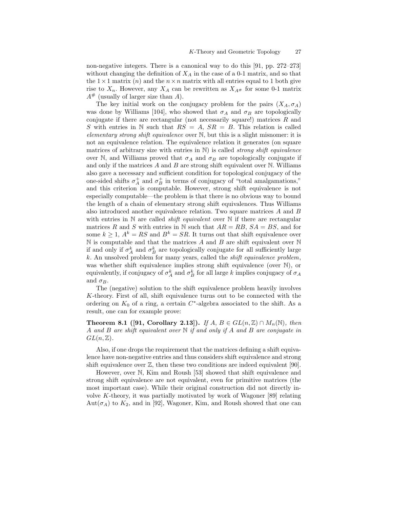non-negative integers. There is a canonical way to do this [91, pp. 272–273] without changing the definition of  $X_A$  in the case of a 0-1 matrix, and so that the  $1 \times 1$  matrix (*n*) and the  $n \times n$  matrix with all entries equal to 1 both give rise to  $X_n$ . However, any  $X_A$  can be rewritten as  $X_{A^{\#}}$  for some 0-1 matrix  $A^{\#}$  (usually of larger size than A).

The key initial work on the conjugacy problem for the pairs  $(X_A, \sigma_A)$ was done by Williams [104], who showed that  $\sigma_A$  and  $\sigma_B$  are topologically conjugate if there are rectangular (not necessarily square!) matrices  $R$  and S with entries in N such that  $RS = A$ ,  $SR = B$ . This relation is called elementary strong shift equivalence over  $\mathbb N$ , but this is a slight misnomer: it is not an equivalence relation. The equivalence relation it generates (on square matrices of arbitrary size with entries in  $\mathbb N$ ) is called *strong shift equivalence* over N, and Williams proved that  $\sigma_A$  and  $\sigma_B$  are topologically conjugate if and only if the matrices  $A$  and  $B$  are strong shift equivalent over  $N$ . Williams also gave a necessary and sufficient condition for topological conjugacy of the one-sided shifts  $\sigma_A^+$  and  $\sigma_B^+$  in terms of conjugacy of "total amalgamations," and this criterion is computable. However, strong shift equivalence is not especially computable—the problem is that there is no obvious way to bound the length of a chain of elementary strong shift equivalences. Thus Williams also introduced another equivalence relation. Two square matrices A and B with entries in  $\mathbb N$  are called *shift equivalent* over  $\mathbb N$  if there are rectangular matrices R and S with entries in N such that  $AR = RB$ ,  $SA = BS$ , and for some  $k \geq 1$ ,  $A^k = RS$  and  $B^k = SR$ . It turns out that shift equivalence over  ${\mathbb N}$  is computable and that the matrices  $A$  and  $B$  are shift equivalent over  ${\mathbb N}$ if and only if  $\sigma_A^k$  and  $\sigma_B^k$  are topologically conjugate for all sufficiently large k. An unsolved problem for many years, called the shift equivalence problem, was whether shift equivalence implies strong shift equivalence (over N), or equivalently, if conjugacy of  $\sigma_A^k$  and  $\sigma_B^k$  for all large k implies conjugacy of  $\sigma_A$ and  $\sigma_B$ .

The (negative) solution to the shift equivalence problem heavily involves K-theory. First of all, shift equivalence turns out to be connected with the ordering on  $K_0$  of a ring, a certain  $C^*$ -algebra associated to the shift. As a result, one can for example prove:

**Theorem 8.1 ([91, Corollary 2.13]).** If  $A, B \in GL(n, \mathbb{Z}) \cap M_n(\mathbb{N})$ , then A and B are shift equivalent over N if and only if A and B are conjugate in  $GL(n,\mathbb{Z})$ .

Also, if one drops the requirement that the matrices defining a shift equivalence have non-negative entries and thus considers shift equivalence and strong shift equivalence over  $\mathbb{Z}$ , then these two conditions are indeed equivalent [90].

However, over N, Kim and Roush [53] showed that shift equivalence and strong shift equivalence are not equivalent, even for primitive matrices (the most important case). While their original construction did not directly involve K-theory, it was partially motivated by work of Wagoner  $[89]$  relating  $Aut(\sigma_A)$  to  $K_2$ , and in [92], Wagoner, Kim, and Roush showed that one can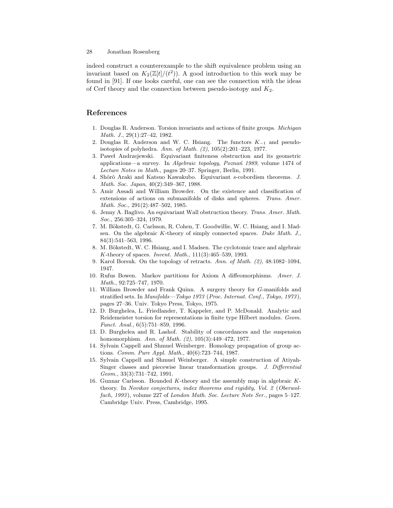indeed construct a counterexample to the shift equivalence problem using an invariant based on  $K_2(\mathbb{Z}[t]/(t^2))$ . A good introduction to this work may be found in [91]. If one looks careful, one can see the connection with the ideas of Cerf theory and the connection between pseudo-isotopy and  $K_2$ .

## References

- 1. Douglas R. Anderson. Torsion invariants and actions of finite groups. Michigan Math. J., 29(1):27–42, 1982.
- 2. Douglas R. Anderson and W. C. Hsiang. The functors  $K_{-1}$  and pseudoisotopies of polyhedra. Ann. of Math. (2), 105(2):201–223, 1977.
- 3. Pawel Andrzejewski. Equivariant finiteness obstruction and its geometric applications—a survey. In Algebraic topology, Poznan´ 1989, volume 1474 of Lecture Notes in Math., pages 20–37. Springer, Berlin, 1991.
- 4. Shôrô Araki and Katsuo Kawakubo. Equivariant s-cobordism theorems. J. Math. Soc. Japan, 40(2):349–367, 1988.
- 5. Amir Assadi and William Browder. On the existence and classification of extensions of actions on submanifolds of disks and spheres. Trans. Amer. Math. Soc., 291(2):487–502, 1985.
- 6. Jenny A. Baglivo. An equivariant Wall obstruction theory. Trans. Amer. Math. Soc., 256:305–324, 1979.
- 7. M. Bökstedt, G. Carlsson, R. Cohen, T. Goodwillie, W. C. Hsiang, and I. Madsen. On the algebraic K-theory of simply connected spaces. Duke Math. J., 84(3):541–563, 1996.
- 8. M. Bökstedt, W. C. Hsiang, and I. Madsen. The cyclotomic trace and algebraic K-theory of spaces. *Invent. Math.*,  $111(3):465-539$ , 1993.
- 9. Karol Borsuk. On the topology of retracts. Ann. of Math. (2), 48:1082–1094, 1947.
- 10. Rufus Bowen. Markov partitions for Axiom A diffeomorphisms. Amer. J. Math., 92:725–747, 1970.
- 11. William Browder and Frank Quinn. A surgery theory for G-manifolds and stratified sets. In Manifolds—Tokyo 1973 (Proc. Internat. Conf., Tokyo, 1973), pages 27–36. Univ. Tokyo Press, Tokyo, 1975.
- 12. D. Burghelea, L. Friedlander, T. Kappeler, and P. McDonald. Analytic and Reidemeister torsion for representations in finite type Hilbert modules. Geom. Funct. Anal., 6(5):751–859, 1996.
- 13. D. Burghelea and R. Lashof. Stability of concordances and the suspension homomorphism. Ann. of Math. (2), 105(3):449–472, 1977.
- 14. Sylvain Cappell and Shmuel Weinberger. Homology propagation of group actions. Comm. Pure Appl. Math., 40(6):723–744, 1987.
- 15. Sylvain Cappell and Shmuel Weinberger. A simple construction of Atiyah-Singer classes and piecewise linear transformation groups. J. Differential Geom., 33(3):731–742, 1991.
- 16. Gunnar Carlsson. Bounded K-theory and the assembly map in algebraic Ktheory. In Novikov conjectures, index theorems and rigidity, Vol. 2 (Oberwolfach, 1993), volume 227 of London Math. Soc. Lecture Note Ser., pages 5-127. Cambridge Univ. Press, Cambridge, 1995.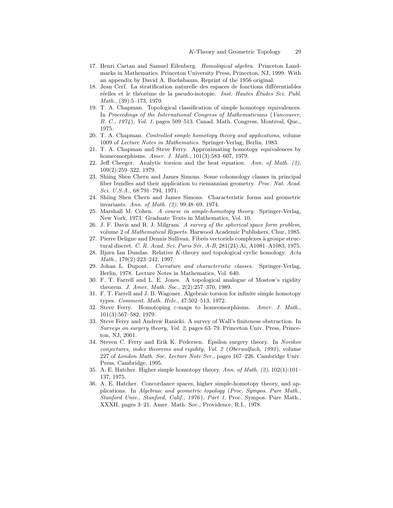- 17. Henri Cartan and Samuel Eilenberg. Homological algebra. Princeton Landmarks in Mathematics. Princeton University Press, Princeton, NJ, 1999. With an appendix by David A. Buchsbaum, Reprint of the 1956 original.
- 18. Jean Cerf. La stratification naturelle des espaces de fonctions différentiables réelles et le théorème de la pseudo-isotopie. Inst. Hautes Études Sci. Publ. Math., (39):5–173, 1970.
- 19. T. A. Chapman. Topological classification of simple homotopy equivalences. In Proceedings of the International Congress of Mathematicians (Vancouver, B. C., 1974 ), Vol. 1, pages 509–513. Canad. Math. Congress, Montreal, Que., 1975.
- 20. T. A. Chapman. Controlled simple homotopy theory and applications, volume 1009 of Lecture Notes in Mathematics. Springer-Verlag, Berlin, 1983.
- 21. T. A. Chapman and Steve Ferry. Approximating homotopy equivalences by homeomorphisms. Amer. J. Math., 101(3):583–607, 1979.
- 22. Jeff Cheeger. Analytic torsion and the heat equation. Ann. of Math.  $(2)$ , 109(2):259–322, 1979.
- 23. Shiing Shen Chern and James Simons. Some cohomology classes in principal fiber bundles and their application to riemannian geometry. Proc. Nat. Acad. Sci. U.S.A., 68:791–794, 1971.
- 24. Shiing Shen Chern and James Simons. Characteristic forms and geometric invariants. Ann. of Math. (2), 99:48–69, 1974.
- 25. Marshall M. Cohen. A course in simple-homotopy theory. Springer-Verlag, New York, 1973. Graduate Texts in Mathematics, Vol. 10.
- 26. J. F. Davis and R. J. Milgram. A survey of the spherical space form problem, volume 2 of Mathematical Reports. Harwood Academic Publishers, Chur, 1985.
- 27. Pierre Deligne and Dennis Sullivan. Fibrés vectoriels complexes à groupe structural discret. C. R. Acad. Sci. Paris Sér. A-B, 281(24):Ai, A1081–A1083, 1975.
- 28. Bjørn Ian Dundas. Relative K-theory and topological cyclic homology. Acta Math., 179(2):223–242, 1997.
- 29. Johan L. Dupont. Curvature and characteristic classes. Springer-Verlag, Berlin, 1978. Lecture Notes in Mathematics, Vol. 640.
- 30. F. T. Farrell and L. E. Jones. A topological analogue of Mostow's rigidity theorem. J. Amer. Math. Soc., 2(2):257–370, 1989.
- 31. F. T. Farrell and J. B. Wagoner. Algebraic torsion for infinite simple homotopy types. Comment. Math. Helv., 47:502–513, 1972.
- 32. Steve Ferry. Homotoping  $\varepsilon$ -maps to homeomorphisms. Amer. J. Math., 101(3):567–582, 1979.
- 33. Steve Ferry and Andrew Ranicki. A survey of Wall's finiteness obstruction. In Surveys on surgery theory, Vol. 2, pages 63–79. Princeton Univ. Press, Princeton, NJ, 2001.
- 34. Steven C. Ferry and Erik K. Pedersen. Epsilon surgery theory. In Novikov conjectures, index theorems and rigidity, Vol. 2 (Oberwolfach, 1993), volume 227 of London Math. Soc. Lecture Note Ser., pages 167–226. Cambridge Univ. Press, Cambridge, 1995.
- 35. A. E. Hatcher. Higher simple homotopy theory. Ann. of Math. (2), 102(1):101– 137, 1975.
- 36. A. E. Hatcher. Concordance spaces, higher simple-homotopy theory, and applications. In Algebraic and geometric topology (Proc. Sympos. Pure Math., Stanford Univ., Stanford, Calif., 1976), Part 1, Proc. Sympos. Pure Math., XXXII, pages 3–21. Amer. Math. Soc., Providence, R.I., 1978.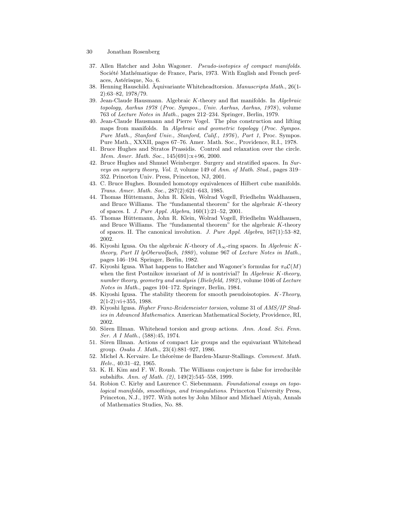- 30 Jonathan Rosenberg
- 37. Allen Hatcher and John Wagoner. Pseudo-isotopies of compact manifolds. Société Mathématique de France, Paris, 1973. With English and French prefaces, Astérisque, No. 6.
- 38. Henning Hauschild. Aquivariante Whiteheadtorsion. *Manuscripta Math.*,  $26(1-$ 2):63–82, 1978/79.
- 39. Jean-Claude Hausmann. Algebraic K-theory and flat manifolds. In Algebraic topology, Aarhus 1978 (Proc. Sympos., Univ. Aarhus, Aarhus, 1978 ), volume 763 of Lecture Notes in Math., pages 212–234. Springer, Berlin, 1979.
- 40. Jean-Claude Hausmann and Pierre Vogel. The plus construction and lifting maps from manifolds. In Algebraic and geometric topology (Proc. Sympos. Pure Math., Stanford Univ., Stanford, Calif., 1976), Part 1, Proc. Sympos. Pure Math., XXXII, pages 67–76. Amer. Math. Soc., Providence, R.I., 1978.
- 41. Bruce Hughes and Stratos Prassidis. Control and relaxation over the circle. Mem. Amer. Math. Soc., 145(691):x+96, 2000.
- 42. Bruce Hughes and Shmuel Weinberger. Surgery and stratified spaces. In Surveys on surgery theory, Vol. 2, volume 149 of Ann. of Math. Stud., pages 319– 352. Princeton Univ. Press, Princeton, NJ, 2001.
- 43. C. Bruce Hughes. Bounded homotopy equivalences of Hilbert cube manifolds. Trans. Amer. Math. Soc., 287(2):621–643, 1985.
- 44. Thomas Hüttemann, John R. Klein, Wolrad Vogell, Friedhelm Waldhausen, and Bruce Williams. The "fundamental theorem" for the algebraic K-theory of spaces. I. J. Pure Appl. Algebra, 160(1):21–52, 2001.
- 45. Thomas Hüttemann, John R. Klein, Wolrad Vogell, Friedhelm Waldhausen, and Bruce Williams. The "fundamental theorem" for the algebraic K-theory of spaces. II. The canonical involution. J. Pure Appl. Algebra, 167(1):53–82, 2002.
- 46. Kiyoshi Igusa. On the algebraic K-theory of  $A_{\infty}$ -ring spaces. In Algebraic Ktheory, Part II lpOberwolfach, 1980 ), volume 967 of Lecture Notes in Math., pages 146–194. Springer, Berlin, 1982.
- 47. Kiyoshi Igusa. What happens to Hatcher and Wagoner's formulas for  $\pi_0 C(M)$ when the first Postnikov invariant of  $M$  is nontrivial? In Algebraic K-theory, number theory, geometry and analysis (Bielefeld, 1982), volume 1046 of Lecture Notes in Math., pages 104–172. Springer, Berlin, 1984.
- 48. Kiyoshi Igusa. The stability theorem for smooth pseudoisotopies. K-Theory,  $2(1-2):$ vi $+355, 1988.$
- 49. Kiyoshi Igusa. Higher Franz-Reidemeister torsion, volume 31 of AMS/IP Studies in Advanced Mathematics. American Mathematical Society, Providence, RI, 2002.
- 50. Sören Illman. Whitehead torsion and group actions. Ann. Acad. Sci. Fenn. Ser. A I Math., (588):45, 1974.
- 51. Sören Illman. Actions of compact Lie groups and the equivariant Whitehead group. Osaka J. Math., 23(4):881–927, 1986.
- 52. Michel A. Kervaire. Le théorème de Barden-Mazur-Stallings. Comment. Math. Helv., 40:31–42, 1965.
- 53. K. H. Kim and F. W. Roush. The Williams conjecture is false for irreducible subshifts. Ann. of Math. (2), 149(2):545–558, 1999.
- 54. Robion C. Kirby and Laurence C. Siebenmann. Foundational essays on topological manifolds, smoothings, and triangulations. Princeton University Press, Princeton, N.J., 1977. With notes by John Milnor and Michael Atiyah, Annals of Mathematics Studies, No. 88.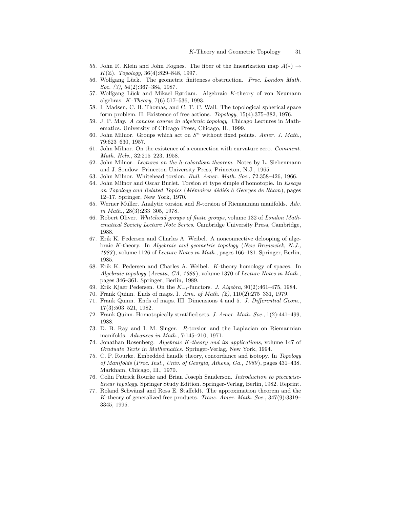- 55. John R. Klein and John Rognes. The fiber of the linearization map  $A(*) \rightarrow$  $K(\mathbb{Z})$ . Topology, 36(4):829-848, 1997.
- 56. Wolfgang Lück. The geometric finiteness obstruction. Proc. London Math. Soc. (3), 54(2):367-384, 1987.
- 57. Wolfgang Lück and Mikael Rørdam. Algebraic K-theory of von Neumann algebras. K-Theory, 7(6):517–536, 1993.
- 58. I. Madsen, C. B. Thomas, and C. T. C. Wall. The topological spherical space form problem. II. Existence of free actions. Topology, 15(4):375–382, 1976.
- 59. J. P. May. A concise course in algebraic topology. Chicago Lectures in Mathematics. University of Chicago Press, Chicago, IL, 1999.
- 60. John Milnor. Groups which act on  $S<sup>n</sup>$  without fixed points. Amer. J. Math., 79:623–630, 1957.
- 61. John Milnor. On the existence of a connection with curvature zero. Comment. Math. Helv., 32:215–223, 1958.
- 62. John Milnor. Lectures on the h-cobordism theorem. Notes by L. Siebenmann and J. Sondow. Princeton University Press, Princeton, N.J., 1965.
- 63. John Milnor. Whitehead torsion. Bull. Amer. Math. Soc., 72:358–426, 1966.
- 64. John Milnor and Oscar Burlet. Torsion et type simple d'homotopie. In Essays on Topology and Related Topics (Mémoires dédiés à Georges de Rham), pages 12–17. Springer, New York, 1970.
- 65. Werner Müller. Analytic torsion and  $R$ -torsion of Riemannian manifolds.  $Adv.$ in Math., 28(3):233–305, 1978.
- 66. Robert Oliver. Whitehead groups of finite groups, volume 132 of London Mathematical Society Lecture Note Series. Cambridge University Press, Cambridge, 1988.
- 67. Erik K. Pedersen and Charles A. Weibel. A nonconnective delooping of algebraic K-theory. In Algebraic and geometric topology (New Brunswick, N.J., 1983 ), volume 1126 of Lecture Notes in Math., pages 166–181. Springer, Berlin, 1985.
- 68. Erik K. Pedersen and Charles A. Weibel. K-theory homology of spaces. In Algebraic topology (Arcata, CA, 1986 ), volume 1370 of Lecture Notes in Math., pages 346–361. Springer, Berlin, 1989.
- 69. Erik Kjaer Pedersen. On the  $K_{-i}$ -functors. J. Algebra, 90(2):461–475, 1984.
- 70. Frank Quinn. Ends of maps. I. Ann. of Math. (2), 110(2):275–331, 1979.
- 71. Frank Quinn. Ends of maps. III. Dimensions 4 and 5. J. Differential Geom., 17(3):503–521, 1982.
- 72. Frank Quinn. Homotopically stratified sets. J. Amer. Math. Soc., 1(2):441–499, 1988.
- 73. D. B. Ray and I. M. Singer. R-torsion and the Laplacian on Riemannian manifolds. Advances in Math., 7:145–210, 1971.
- 74. Jonathan Rosenberg. Algebraic K-theory and its applications, volume 147 of Graduate Texts in Mathematics. Springer-Verlag, New York, 1994.
- 75. C. P. Rourke. Embedded handle theory, concordance and isotopy. In Topology of Manifolds (Proc. Inst., Univ. of Georgia, Athens, Ga., 1969 ), pages 431–438. Markham, Chicago, Ill., 1970.
- 76. Colin Patrick Rourke and Brian Joseph Sanderson. Introduction to piecewiselinear topology. Springer Study Edition. Springer-Verlag, Berlin, 1982. Reprint.
- 77. Roland Schwänzl and Ross E. Staffeldt. The approximation theorem and the K-theory of generalized free products. Trans. Amer. Math. Soc., 347(9):3319– 3345, 1995.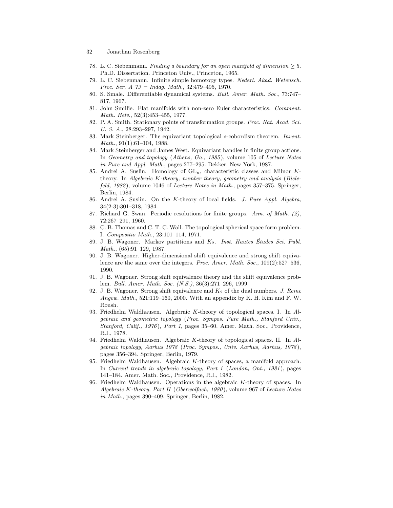- 32 Jonathan Rosenberg
- 78. L. C. Siebenmann. Finding a boundary for an open manifold of dimension  $> 5$ . Ph.D. Dissertation. Princeton Univ., Princeton, 1965.
- 79. L. C. Siebenmann. Infinite simple homotopy types. Nederl. Akad. Wetensch. Proc. Ser. A  $73 = Indag$ . Math., 32:479-495, 1970.
- 80. S. Smale. Differentiable dynamical systems. Bull. Amer. Math. Soc., 73:747– 817, 1967.
- 81. John Smillie. Flat manifolds with non-zero Euler characteristics. Comment. Math. Helv., 52(3):453–455, 1977.
- 82. P. A. Smith. Stationary points of transformation groups. Proc. Nat. Acad. Sci. U. S. A., 28:293–297, 1942.
- 83. Mark Steinberger. The equivariant topological s-cobordism theorem. Invent. Math., 91(1):61–104, 1988.
- 84. Mark Steinberger and James West. Equivariant handles in finite group actions. In Geometry and topology (Athens, Ga., 1985 ), volume 105 of Lecture Notes in Pure and Appl. Math., pages 277–295. Dekker, New York, 1987.
- 85. Andrei A. Suslin. Homology of  $GL_n$ , characteristic classes and Milnor Ktheory. In Algebraic K-theory, number theory, geometry and analysis (Bielefeld, 1982), volume 1046 of Lecture Notes in Math., pages 357-375. Springer, Berlin, 1984.
- 86. Andrei A. Suslin. On the K-theory of local fields. J. Pure Appl. Algebra, 34(2-3):301–318, 1984.
- 87. Richard G. Swan. Periodic resolutions for finite groups. Ann. of Math.  $(2)$ , 72:267–291, 1960.
- 88. C. B. Thomas and C. T. C. Wall. The topological spherical space form problem. I. Compositio Math., 23:101–114, 1971.
- 89. J. B. Wagoner. Markov partitions and  $K_2$ . Inst. Hautes Études Sci. Publ. Math., (65):91–129, 1987.
- 90. J. B. Wagoner. Higher-dimensional shift equivalence and strong shift equivalence are the same over the integers. Proc. Amer. Math. Soc., 109(2):527–536, 1990.
- 91. J. B. Wagoner. Strong shift equivalence theory and the shift equivalence problem. Bull. Amer. Math. Soc. (N.S.), 36(3):271–296, 1999.
- 92. J. B. Wagoner. Strong shift equivalence and  $K_2$  of the dual numbers. J. Reine Angew. Math., 521:119–160, 2000. With an appendix by K. H. Kim and F. W. Roush.
- 93. Friedhelm Waldhausen. Algebraic K-theory of topological spaces. I. In Algebraic and geometric topology (Proc. Sympos. Pure Math., Stanford Univ., Stanford, Calif., 1976 ), Part 1, pages 35–60. Amer. Math. Soc., Providence, R.I., 1978.
- 94. Friedhelm Waldhausen. Algebraic K-theory of topological spaces. II. In Algebraic topology, Aarhus 1978 (Proc. Sympos., Univ. Aarhus, Aarhus, 1978 ), pages 356–394. Springer, Berlin, 1979.
- 95. Friedhelm Waldhausen. Algebraic K-theory of spaces, a manifold approach. In Current trends in algebraic topology, Part 1 (London, Ont., 1981 ), pages 141–184. Amer. Math. Soc., Providence, R.I., 1982.
- 96. Friedhelm Waldhausen. Operations in the algebraic K-theory of spaces. In Algebraic K-theory, Part II (Oberwolfach, 1980 ), volume 967 of Lecture Notes in Math., pages 390–409. Springer, Berlin, 1982.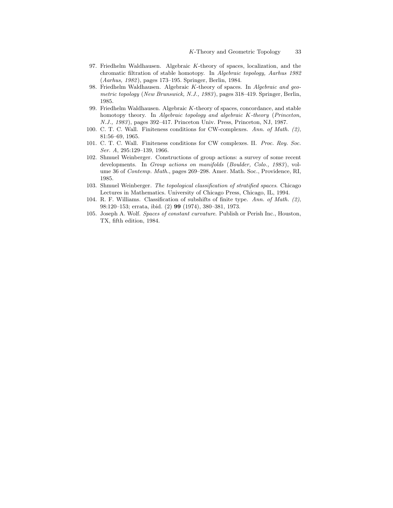- 97. Friedhelm Waldhausen. Algebraic  $K$ -theory of spaces, localization, and the chromatic filtration of stable homotopy. In Algebraic topology, Aarhus 1982 (Aarhus, 1982 ), pages 173–195. Springer, Berlin, 1984.
- 98. Friedhelm Waldhausen. Algebraic K-theory of spaces. In Algebraic and geometric topology (New Brunswick, N.J., 1983 ), pages 318–419. Springer, Berlin, 1985.
- 99. Friedhelm Waldhausen. Algebraic K-theory of spaces, concordance, and stable homotopy theory. In Algebraic topology and algebraic K-theory (Princeton, N.J., 1983 ), pages 392–417. Princeton Univ. Press, Princeton, NJ, 1987.
- 100. C. T. C. Wall. Finiteness conditions for CW-complexes. Ann. of Math. (2), 81:56–69, 1965.
- 101. C. T. C. Wall. Finiteness conditions for CW complexes. II. Proc. Roy. Soc. Ser. A, 295:129–139, 1966.
- 102. Shmuel Weinberger. Constructions of group actions: a survey of some recent developments. In Group actions on manifolds (Boulder, Colo., 1983), volume 36 of Contemp. Math., pages 269–298. Amer. Math. Soc., Providence, RI, 1985.
- 103. Shmuel Weinberger. The topological classification of stratified spaces. Chicago Lectures in Mathematics. University of Chicago Press, Chicago, IL, 1994.
- 104. R. F. Williams. Classification of subshifts of finite type. Ann. of Math. (2), 98:120–153; errata, ibid. (2) 99 (1974), 380–381, 1973.
- 105. Joseph A. Wolf. Spaces of constant curvature. Publish or Perish Inc., Houston, TX, fifth edition, 1984.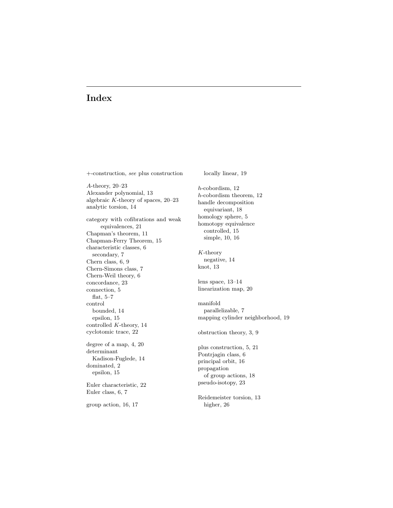# Index

+-construction, see plus construction

A-theory, 20–23 Alexander polynomial, 13 algebraic K-theory of spaces, 20–23 analytic torsion, 14

category with cofibrations and weak equivalences, 21 Chapman's theorem, 11 Chapman-Ferry Theorem, 15 characteristic classes, 6 secondary, 7 Chern class, 6, 9 Chern-Simons class, 7 Chern-Weil theory, 6 concordance, 23 connection, 5 flat, 5–7 control bounded, 14 epsilon, 15 controlled K-theory, 14 cyclotomic trace, 22 degree of a map, 4, 20 determinant Kadison-Fuglede, 14 dominated, 2 epsilon, 15 Euler characteristic, 22 Euler class, 6, 7

group action, 16, 17

h-cobordism, 12 h-cobordism theorem, 12 handle decomposition equivariant, 18 homology sphere, 5 homotopy equivalence controlled, 15 simple, 10, 16

locally linear, 19

K-theory negative, 14 knot, 13

lens space, 13–14 linearization map, 20

manifold parallelizable, 7 mapping cylinder neighborhood, 19

obstruction theory, 3, 9

plus construction, 5, 21 Pontrjagin class, 6 principal orbit, 16 propagation of group actions, 18 pseudo-isotopy, 23

Reidemeister torsion, 13 higher, 26